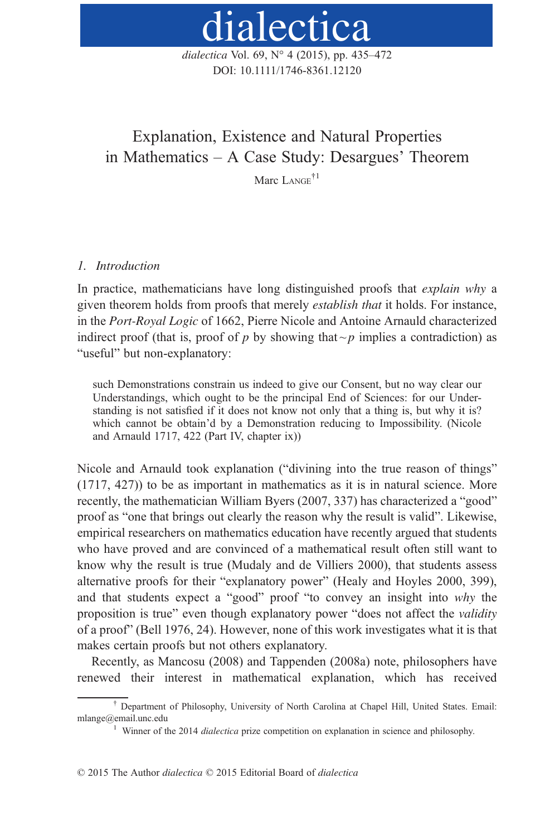

# Explanation, Existence and Natural Properties in Mathematics – A Case Study: Desargues' Theorem

Marc LANGE<sup>†1</sup>

## 1. Introduction

In practice, mathematicians have long distinguished proofs that *explain why* a given theorem holds from proofs that merely establish that it holds. For instance, in the Port-Royal Logic of 1662, Pierre Nicole and Antoine Arnauld characterized indirect proof (that is, proof of p by showing that  $\neg p$  implies a contradiction) as "useful" but non-explanatory:

such Demonstrations constrain us indeed to give our Consent, but no way clear our Understandings, which ought to be the principal End of Sciences: for our Understanding is not satisfied if it does not know not only that a thing is, but why it is? which cannot be obtain'd by a Demonstration reducing to Impossibility. (Nicole and Arnauld 1717, 422 (Part IV, chapter ix))

Nicole and Arnauld took explanation ("divining into the true reason of things" (1717, 427)) to be as important in mathematics as it is in natural science. More recently, the mathematician William Byers (2007, 337) has characterized a "good" proof as "one that brings out clearly the reason why the result is valid". Likewise, empirical researchers on mathematics education have recently argued that students who have proved and are convinced of a mathematical result often still want to know why the result is true (Mudaly and de Villiers 2000), that students assess alternative proofs for their "explanatory power" (Healy and Hoyles 2000, 399), and that students expect a "good" proof "to convey an insight into why the proposition is true" even though explanatory power "does not affect the validity of a proof" (Bell 1976, 24). However, none of this work investigates what it is that makes certain proofs but not others explanatory.

Recently, as Mancosu (2008) and Tappenden (2008a) note, philosophers have renewed their interest in mathematical explanation, which has received

<sup>†</sup> Department of Philosophy, University of North Carolina at Chapel Hill, United States. Email: mlange@email.unc.edu

<sup>&</sup>lt;sup>1</sup> Winner of the 2014 dialectica prize competition on explanation in science and philosophy.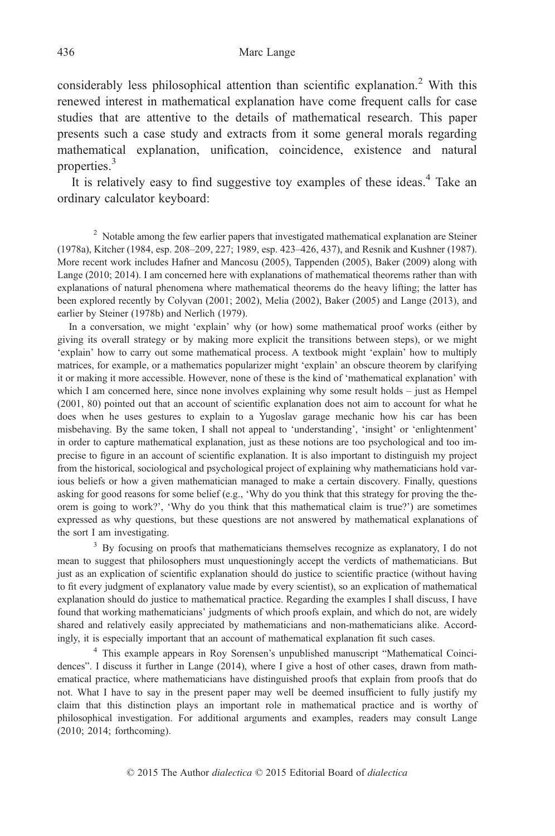considerably less philosophical attention than scientific explanation.<sup>2</sup> With this renewed interest in mathematical explanation have come frequent calls for case studies that are attentive to the details of mathematical research. This paper presents such a case study and extracts from it some general morals regarding mathematical explanation, unification, coincidence, existence and natural properties.3

It is relatively easy to find suggestive toy examples of these ideas.<sup>4</sup> Take an ordinary calculator keyboard:

 $<sup>2</sup>$  Notable among the few earlier papers that investigated mathematical explanation are Steiner</sup> (1978a), Kitcher (1984, esp. 208–209, 227; 1989, esp. 423–426, 437), and Resnik and Kushner (1987). More recent work includes Hafner and Mancosu (2005), Tappenden (2005), Baker (2009) along with Lange (2010; 2014). I am concerned here with explanations of mathematical theorems rather than with explanations of natural phenomena where mathematical theorems do the heavy lifting; the latter has been explored recently by Colyvan (2001; 2002), Melia (2002), Baker (2005) and Lange (2013), and earlier by Steiner (1978b) and Nerlich (1979).

In a conversation, we might 'explain' why (or how) some mathematical proof works (either by giving its overall strategy or by making more explicit the transitions between steps), or we might 'explain' how to carry out some mathematical process. A textbook might 'explain' how to multiply matrices, for example, or a mathematics popularizer might 'explain' an obscure theorem by clarifying it or making it more accessible. However, none of these is the kind of 'mathematical explanation' with which I am concerned here, since none involves explaining why some result holds – just as Hempel (2001, 80) pointed out that an account of scientific explanation does not aim to account for what he does when he uses gestures to explain to a Yugoslav garage mechanic how his car has been misbehaving. By the same token, I shall not appeal to 'understanding', 'insight' or 'enlightenment' in order to capture mathematical explanation, just as these notions are too psychological and too imprecise to figure in an account of scientific explanation. It is also important to distinguish my project from the historical, sociological and psychological project of explaining why mathematicians hold various beliefs or how a given mathematician managed to make a certain discovery. Finally, questions asking for good reasons for some belief (e.g., 'Why do you think that this strategy for proving the theorem is going to work?', 'Why do you think that this mathematical claim is true?') are sometimes expressed as why questions, but these questions are not answered by mathematical explanations of the sort I am investigating.

<sup>3</sup> By focusing on proofs that mathematicians themselves recognize as explanatory, I do not mean to suggest that philosophers must unquestioningly accept the verdicts of mathematicians. But just as an explication of scientific explanation should do justice to scientific practice (without having to fit every judgment of explanatory value made by every scientist), so an explication of mathematical explanation should do justice to mathematical practice. Regarding the examples I shall discuss, I have found that working mathematicians' judgments of which proofs explain, and which do not, are widely shared and relatively easily appreciated by mathematicians and non-mathematicians alike. Accordingly, it is especially important that an account of mathematical explanation fit such cases.

<sup>4</sup> This example appears in Roy Sorensen's unpublished manuscript "Mathematical Coincidences". I discuss it further in Lange (2014), where I give a host of other cases, drawn from mathematical practice, where mathematicians have distinguished proofs that explain from proofs that do not. What I have to say in the present paper may well be deemed insufficient to fully justify my claim that this distinction plays an important role in mathematical practice and is worthy of philosophical investigation. For additional arguments and examples, readers may consult Lange (2010; 2014; forthcoming).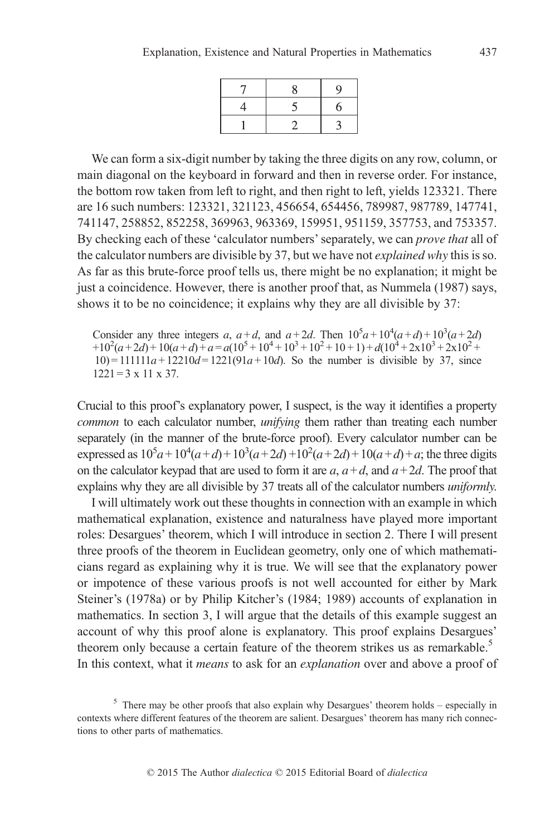|   | 9 |
|---|---|
| ⊣ | h |
|   |   |

We can form a six-digit number by taking the three digits on any row, column, or main diagonal on the keyboard in forward and then in reverse order. For instance, the bottom row taken from left to right, and then right to left, yields 123321. There are 16 such numbers: 123321, 321123, 456654, 654456, 789987, 987789, 147741, 741147, 258852, 852258, 369963, 963369, 159951, 951159, 357753, and 753357. By checking each of these 'calculator numbers' separately, we can *prove that* all of the calculator numbers are divisible by 37, but we have not *explained why* this is so. As far as this brute-force proof tells us, there might be no explanation; it might be just a coincidence. However, there is another proof that, as Nummela (1987) says, shows it to be no coincidence; it explains why they are all divisible by 37:

Consider any three integers a,  $a+d$ , and  $a+2d$ . Then  $10^5a+10^4(a+d)+10^3(a+2d)$ <br>+10<sup>2</sup> $(a+2d)+10(a+d)+a=a(10^5+10^4+10^3+10^2+10+1)+d(10^4+2x10^3+2x10^2+$  $10) = 111111a + 12210d = 1221(91a + 10d)$ . So the number is divisible by 37, since  $1221 = 3 \times 11 \times 37$ .

Crucial to this proof's explanatory power, I suspect, is the way it identifies a property common to each calculator number, *unifying* them rather than treating each number separately (in the manner of the brute-force proof). Every calculator number can be expressed as  $10^5 a + 10^4 (a+d) + 10^3 (a+2d) + 10^2 (a+2d) + 10(a+d) + a$ ; the three digits on the calculator keypad that are used to form it are  $a, a+d$ , and  $a+2d$ . The proof that explains why they are all divisible by 37 treats all of the calculator numbers uniformly.

I will ultimately work out these thoughts in connection with an example in which mathematical explanation, existence and naturalness have played more important roles: Desargues' theorem, which I will introduce in section 2. There I will present three proofs of the theorem in Euclidean geometry, only one of which mathematicians regard as explaining why it is true. We will see that the explanatory power or impotence of these various proofs is not well accounted for either by Mark Steiner's (1978a) or by Philip Kitcher's (1984; 1989) accounts of explanation in mathematics. In section 3, I will argue that the details of this example suggest an account of why this proof alone is explanatory. This proof explains Desargues' theorem only because a certain feature of the theorem strikes us as remarkable.<sup>5</sup> In this context, what it *means* to ask for an *explanation* over and above a proof of

 $<sup>5</sup>$  There may be other proofs that also explain why Desargues' theorem holds – especially in</sup> contexts where different features of the theorem are salient. Desargues' theorem has many rich connections to other parts of mathematics.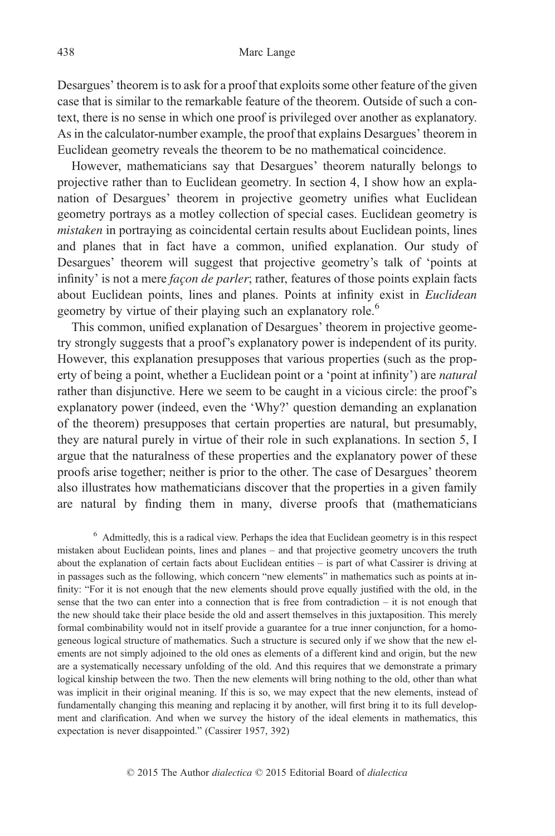Desargues' theorem is to ask for a proof that exploits some other feature of the given case that is similar to the remarkable feature of the theorem. Outside of such a context, there is no sense in which one proof is privileged over another as explanatory. As in the calculator-number example, the proof that explains Desargues' theorem in Euclidean geometry reveals the theorem to be no mathematical coincidence.

However, mathematicians say that Desargues' theorem naturally belongs to projective rather than to Euclidean geometry. In section 4, I show how an explanation of Desargues' theorem in projective geometry unifies what Euclidean geometry portrays as a motley collection of special cases. Euclidean geometry is mistaken in portraying as coincidental certain results about Euclidean points, lines and planes that in fact have a common, unified explanation. Our study of Desargues' theorem will suggest that projective geometry's talk of 'points at infinity' is not a mere *façon de parler*; rather, features of those points explain facts about Euclidean points, lines and planes. Points at infinity exist in Euclidean geometry by virtue of their playing such an explanatory role.<sup>6</sup>

This common, unified explanation of Desargues' theorem in projective geometry strongly suggests that a proof's explanatory power is independent of its purity. However, this explanation presupposes that various properties (such as the property of being a point, whether a Euclidean point or a 'point at infinity') are natural rather than disjunctive. Here we seem to be caught in a vicious circle: the proof's explanatory power (indeed, even the 'Why?' question demanding an explanation of the theorem) presupposes that certain properties are natural, but presumably, they are natural purely in virtue of their role in such explanations. In section 5, I argue that the naturalness of these properties and the explanatory power of these proofs arise together; neither is prior to the other. The case of Desargues' theorem also illustrates how mathematicians discover that the properties in a given family are natural by finding them in many, diverse proofs that (mathematicians

<sup>6</sup> Admittedly, this is a radical view. Perhaps the idea that Euclidean geometry is in this respect mistaken about Euclidean points, lines and planes – and that projective geometry uncovers the truth about the explanation of certain facts about Euclidean entities – is part of what Cassirer is driving at in passages such as the following, which concern "new elements" in mathematics such as points at infinity: "For it is not enough that the new elements should prove equally justified with the old, in the sense that the two can enter into a connection that is free from contradiction – it is not enough that the new should take their place beside the old and assert themselves in this juxtaposition. This merely formal combinability would not in itself provide a guarantee for a true inner conjunction, for a homogeneous logical structure of mathematics. Such a structure is secured only if we show that the new elements are not simply adjoined to the old ones as elements of a different kind and origin, but the new are a systematically necessary unfolding of the old. And this requires that we demonstrate a primary logical kinship between the two. Then the new elements will bring nothing to the old, other than what was implicit in their original meaning. If this is so, we may expect that the new elements, instead of fundamentally changing this meaning and replacing it by another, will first bring it to its full development and clarification. And when we survey the history of the ideal elements in mathematics, this expectation is never disappointed." (Cassirer 1957, 392)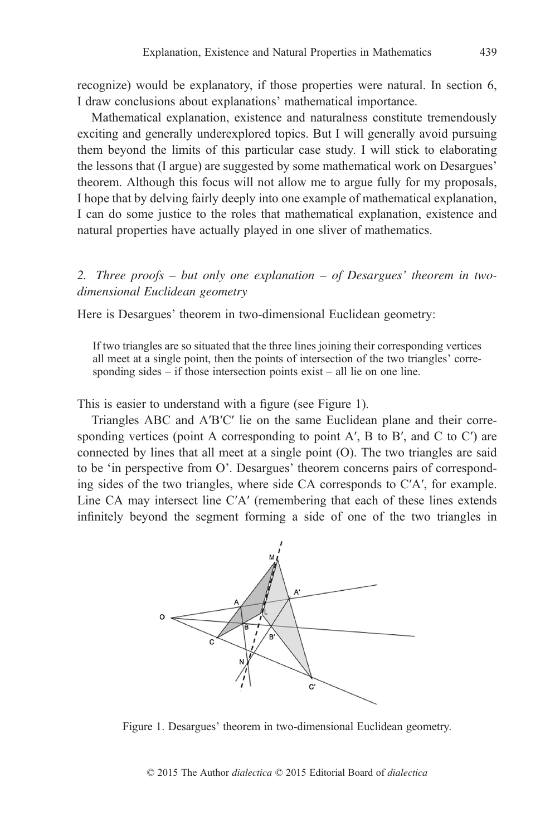recognize) would be explanatory, if those properties were natural. In section 6, I draw conclusions about explanations' mathematical importance.

Mathematical explanation, existence and naturalness constitute tremendously exciting and generally underexplored topics. But I will generally avoid pursuing them beyond the limits of this particular case study. I will stick to elaborating the lessons that (I argue) are suggested by some mathematical work on Desargues' theorem. Although this focus will not allow me to argue fully for my proposals, I hope that by delving fairly deeply into one example of mathematical explanation, I can do some justice to the roles that mathematical explanation, existence and natural properties have actually played in one sliver of mathematics.

2. Three proofs – but only one explanation – of Desargues' theorem in twodimensional Euclidean geometry

Here is Desargues' theorem in two-dimensional Euclidean geometry:

If two triangles are so situated that the three lines joining their corresponding vertices all meet at a single point, then the points of intersection of the two triangles' corresponding sides – if those intersection points exist – all lie on one line.

This is easier to understand with a figure (see Figure 1).

Triangles ABC and A′B′C′ lie on the same Euclidean plane and their corresponding vertices (point A corresponding to point A′, B to B′, and C to C′) are connected by lines that all meet at a single point (O). The two triangles are said to be 'in perspective from O'. Desargues' theorem concerns pairs of corresponding sides of the two triangles, where side CA corresponds to C′A′, for example. Line CA may intersect line C′A′ (remembering that each of these lines extends infinitely beyond the segment forming a side of one of the two triangles in



Figure 1. Desargues' theorem in two-dimensional Euclidean geometry.

© 2015 The Author dialectica © 2015 Editorial Board of dialectica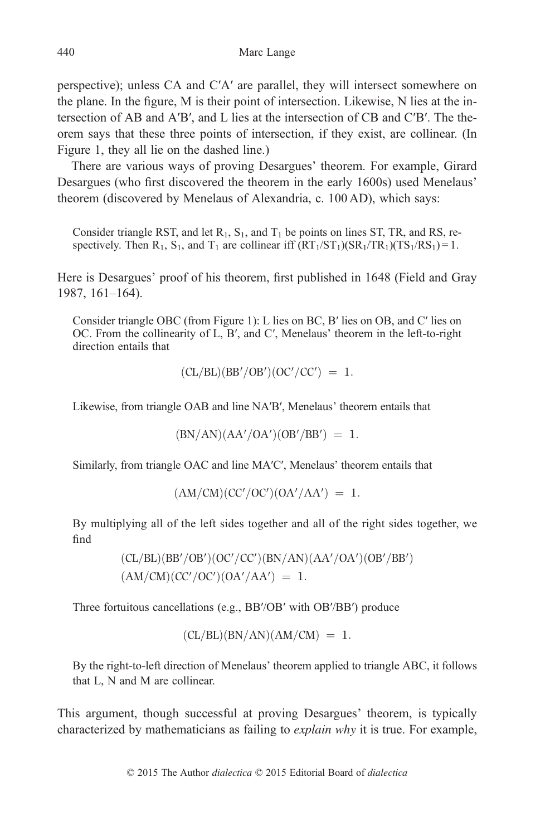perspective); unless CA and C′A′ are parallel, they will intersect somewhere on the plane. In the figure, M is their point of intersection. Likewise, N lies at the intersection of AB and A′B′, and L lies at the intersection of CB and C′B′. The theorem says that these three points of intersection, if they exist, are collinear. (In Figure 1, they all lie on the dashed line.)

There are various ways of proving Desargues' theorem. For example, Girard Desargues (who first discovered the theorem in the early 1600s) used Menelaus' theorem (discovered by Menelaus of Alexandria, c. 100 AD), which says:

Consider triangle RST, and let  $R_1$ ,  $S_1$ , and  $T_1$  be points on lines ST, TR, and RS, respectively. Then  $R_1$ ,  $S_1$ , and  $T_1$  are collinear iff  $(RT_1/ST_1)(SR_1/TR_1)(TS_1/RS_1) = 1$ .

Here is Desargues' proof of his theorem, first published in 1648 (Field and Gray 1987, 161–164).

Consider triangle OBC (from Figure 1): L lies on BC, B′ lies on OB, and C′ lies on OC. From the collinearity of L, B′, and C′, Menelaus' theorem in the left-to-right direction entails that

$$
(CL/BL)(BB'/OB')(OC'/CC') = 1.
$$

Likewise, from triangle OAB and line NA′B′, Menelaus' theorem entails that

$$
(BN/AN)(AA'/OA')(OB'/BB') = 1.
$$

Similarly, from triangle OAC and line MA′C′, Menelaus' theorem entails that

$$
(AM/CM)(CC'/OC')(OA'/AA')\ =\ 1.
$$

By multiplying all of the left sides together and all of the right sides together, we find

$$
(CL/BL)(BB'/OB')(OC'/CC')(BN/AN)(AA'/OA')(OB'/BB')
$$
  

$$
(AM/CM)(CC'/OC')(OA'/AA') = 1.
$$

Three fortuitous cancellations (e.g., BB′/OB′ with OB′/BB′) produce

$$
(CL/BL)(BN/AN)(AM/CM)~=~1.
$$

By the right-to-left direction of Menelaus' theorem applied to triangle ABC, it follows that L, N and M are collinear.

This argument, though successful at proving Desargues' theorem, is typically characterized by mathematicians as failing to explain why it is true. For example,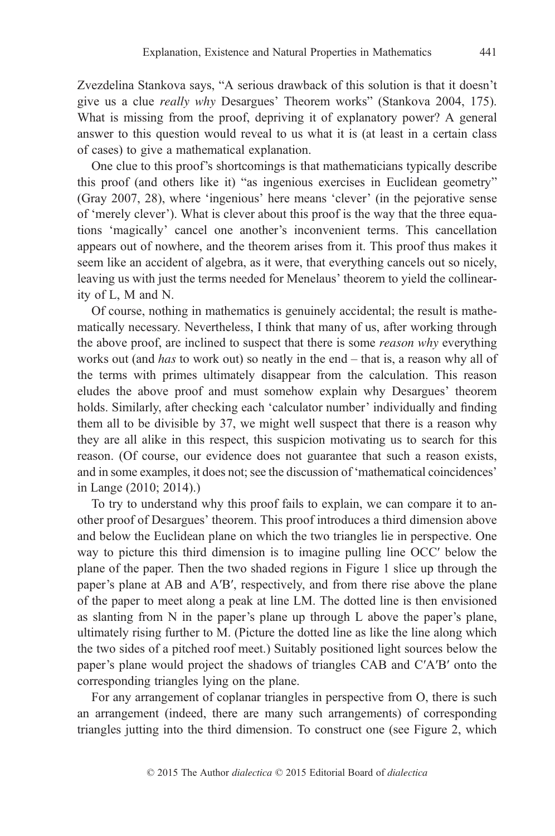Zvezdelina Stankova says, "A serious drawback of this solution is that it doesn't give us a clue really why Desargues' Theorem works" (Stankova 2004, 175). What is missing from the proof, depriving it of explanatory power? A general answer to this question would reveal to us what it is (at least in a certain class of cases) to give a mathematical explanation.

One clue to this proof's shortcomings is that mathematicians typically describe this proof (and others like it) "as ingenious exercises in Euclidean geometry" (Gray 2007, 28), where 'ingenious' here means 'clever' (in the pejorative sense of 'merely clever'). What is clever about this proof is the way that the three equations 'magically' cancel one another's inconvenient terms. This cancellation appears out of nowhere, and the theorem arises from it. This proof thus makes it seem like an accident of algebra, as it were, that everything cancels out so nicely, leaving us with just the terms needed for Menelaus' theorem to yield the collinearity of L, M and N.

Of course, nothing in mathematics is genuinely accidental; the result is mathematically necessary. Nevertheless, I think that many of us, after working through the above proof, are inclined to suspect that there is some *reason why* everything works out (and has to work out) so neatly in the end – that is, a reason why all of the terms with primes ultimately disappear from the calculation. This reason eludes the above proof and must somehow explain why Desargues' theorem holds. Similarly, after checking each 'calculator number' individually and finding them all to be divisible by 37, we might well suspect that there is a reason why they are all alike in this respect, this suspicion motivating us to search for this reason. (Of course, our evidence does not guarantee that such a reason exists, and in some examples, it does not; see the discussion of 'mathematical coincidences' in Lange (2010; 2014).)

To try to understand why this proof fails to explain, we can compare it to another proof of Desargues' theorem. This proof introduces a third dimension above and below the Euclidean plane on which the two triangles lie in perspective. One way to picture this third dimension is to imagine pulling line OCC′ below the plane of the paper. Then the two shaded regions in Figure 1 slice up through the paper's plane at AB and A′B′, respectively, and from there rise above the plane of the paper to meet along a peak at line LM. The dotted line is then envisioned as slanting from N in the paper's plane up through L above the paper's plane, ultimately rising further to M. (Picture the dotted line as like the line along which the two sides of a pitched roof meet.) Suitably positioned light sources below the paper's plane would project the shadows of triangles CAB and C′A′B′ onto the corresponding triangles lying on the plane.

For any arrangement of coplanar triangles in perspective from O, there is such an arrangement (indeed, there are many such arrangements) of corresponding triangles jutting into the third dimension. To construct one (see Figure 2, which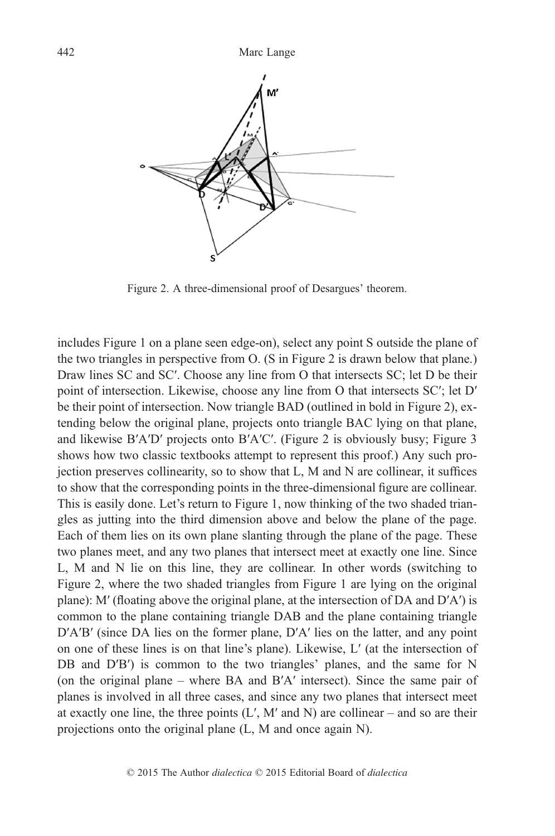

Figure 2. A three-dimensional proof of Desargues' theorem.

includes Figure 1 on a plane seen edge-on), select any point S outside the plane of the two triangles in perspective from O. (S in Figure 2 is drawn below that plane.) Draw lines SC and SC′. Choose any line from O that intersects SC; let D be their point of intersection. Likewise, choose any line from O that intersects SC′; let D′ be their point of intersection. Now triangle BAD (outlined in bold in Figure 2), extending below the original plane, projects onto triangle BAC lying on that plane, and likewise B′A′D′ projects onto B′A′C′. (Figure 2 is obviously busy; Figure 3 shows how two classic textbooks attempt to represent this proof.) Any such projection preserves collinearity, so to show that L, M and N are collinear, it suffices to show that the corresponding points in the three-dimensional figure are collinear. This is easily done. Let's return to Figure 1, now thinking of the two shaded triangles as jutting into the third dimension above and below the plane of the page. Each of them lies on its own plane slanting through the plane of the page. These two planes meet, and any two planes that intersect meet at exactly one line. Since L, M and N lie on this line, they are collinear. In other words (switching to Figure 2, where the two shaded triangles from Figure 1 are lying on the original plane): M′ (floating above the original plane, at the intersection of DA and D′A′) is common to the plane containing triangle DAB and the plane containing triangle D'A'B' (since DA lies on the former plane, D'A' lies on the latter, and any point on one of these lines is on that line's plane). Likewise, L′ (at the intersection of DB and D'B') is common to the two triangles' planes, and the same for N (on the original plane – where BA and B′A′ intersect). Since the same pair of planes is involved in all three cases, and since any two planes that intersect meet at exactly one line, the three points  $(L', M'$  and N) are collinear – and so are their projections onto the original plane (L, M and once again N).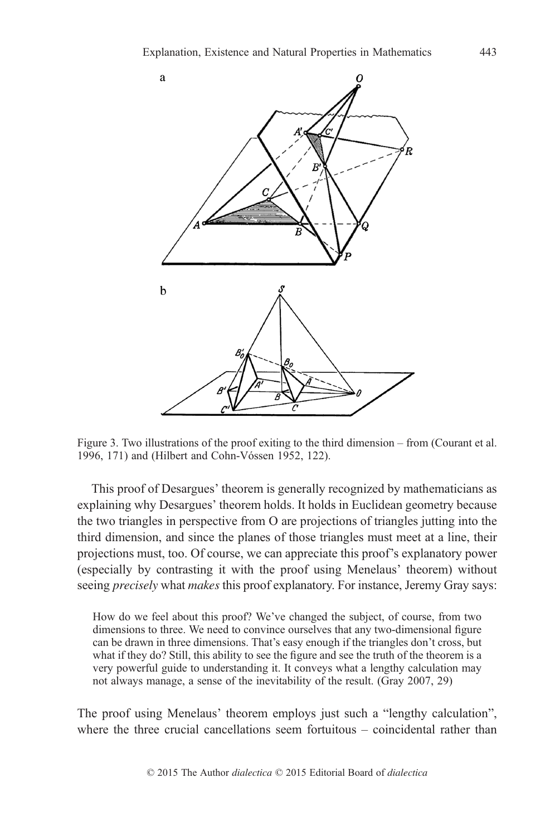

Figure 3. Two illustrations of the proof exiting to the third dimension – from (Courant et al. 1996, 171) and (Hilbert and Cohn-Vóssen 1952, 122).

This proof of Desargues' theorem is generally recognized by mathematicians as explaining why Desargues' theorem holds. It holds in Euclidean geometry because the two triangles in perspective from O are projections of triangles jutting into the third dimension, and since the planes of those triangles must meet at a line, their projections must, too. Of course, we can appreciate this proof's explanatory power (especially by contrasting it with the proof using Menelaus' theorem) without seeing *precisely* what *makes* this proof explanatory. For instance, Jeremy Gray says:

How do we feel about this proof? We've changed the subject, of course, from two dimensions to three. We need to convince ourselves that any two-dimensional figure can be drawn in three dimensions. That's easy enough if the triangles don't cross, but what if they do? Still, this ability to see the figure and see the truth of the theorem is a very powerful guide to understanding it. It conveys what a lengthy calculation may not always manage, a sense of the inevitability of the result. (Gray 2007, 29)

The proof using Menelaus' theorem employs just such a "lengthy calculation", where the three crucial cancellations seem fortuitous – coincidental rather than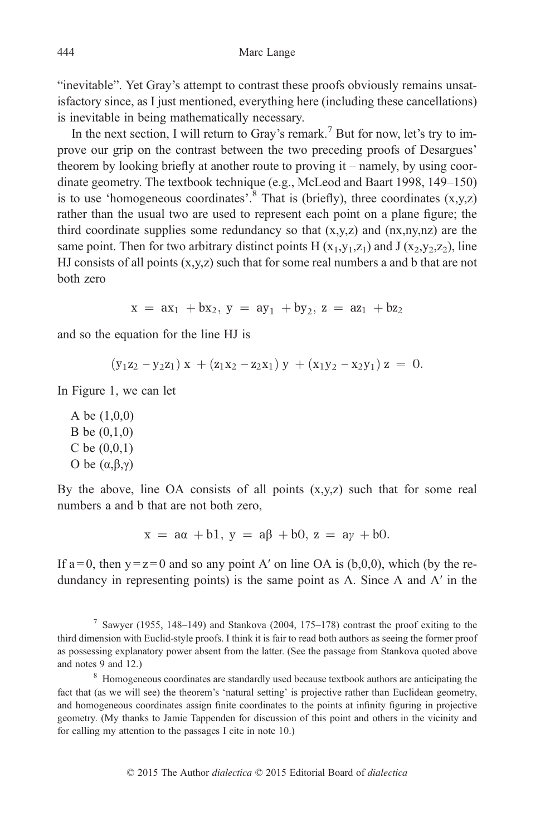"inevitable". Yet Gray's attempt to contrast these proofs obviously remains unsatisfactory since, as I just mentioned, everything here (including these cancellations) is inevitable in being mathematically necessary.

In the next section, I will return to Gray's remark.<sup>7</sup> But for now, let's try to improve our grip on the contrast between the two preceding proofs of Desargues' theorem by looking briefly at another route to proving it – namely, by using coordinate geometry. The textbook technique (e.g., McLeod and Baart 1998, 149–150) is to use 'homogeneous coordinates'.<sup>8</sup> That is (briefly), three coordinates  $(x,y,z)$ rather than the usual two are used to represent each point on a plane figure; the third coordinate supplies some redundancy so that  $(x,y,z)$  and  $(nx,ny,nz)$  are the same point. Then for two arbitrary distinct points H  $(x_1,y_1,z_1)$  and J  $(x_2,y_2,z_2)$ , line HJ consists of all points  $(x,y,z)$  such that for some real numbers a and b that are not both zero

$$
x\ =\ ax_1\ +bx_2,\ y\ =\ ay_1\ +by_2,\ z\ =\ az_1\ +bz_2
$$

and so the equation for the line HJ is

$$
(y_1z_2-y_2z_1)\; x\; + (z_1x_2-z_2x_1)\; y\; + (x_1y_2-x_2y_1)\; z\; =\; 0.
$$

In Figure 1, we can let

A be (1,0,0) B be (0,1,0) C be (0,0,1) O be (α,β,γ)

By the above, line OA consists of all points  $(x,y,z)$  such that for some real numbers a and b that are not both zero,

 $x = a\alpha + b1$ ,  $y = a\beta + b0$ ,  $z = a\gamma + b0$ .

If  $a=0$ , then  $y=z=0$  and so any point A' on line OA is (b,0,0), which (by the redundancy in representing points) is the same point as A. Since A and A′ in the

<sup>&</sup>lt;sup>7</sup> Sawyer (1955, 148–149) and Stankova (2004, 175–178) contrast the proof exiting to the third dimension with Euclid-style proofs. I think it is fair to read both authors as seeing the former proof as possessing explanatory power absent from the latter. (See the passage from Stankova quoted above and notes 9 and 12.)

<sup>8</sup> Homogeneous coordinates are standardly used because textbook authors are anticipating the fact that (as we will see) the theorem's 'natural setting' is projective rather than Euclidean geometry, and homogeneous coordinates assign finite coordinates to the points at infinity figuring in projective geometry. (My thanks to Jamie Tappenden for discussion of this point and others in the vicinity and for calling my attention to the passages I cite in note 10.)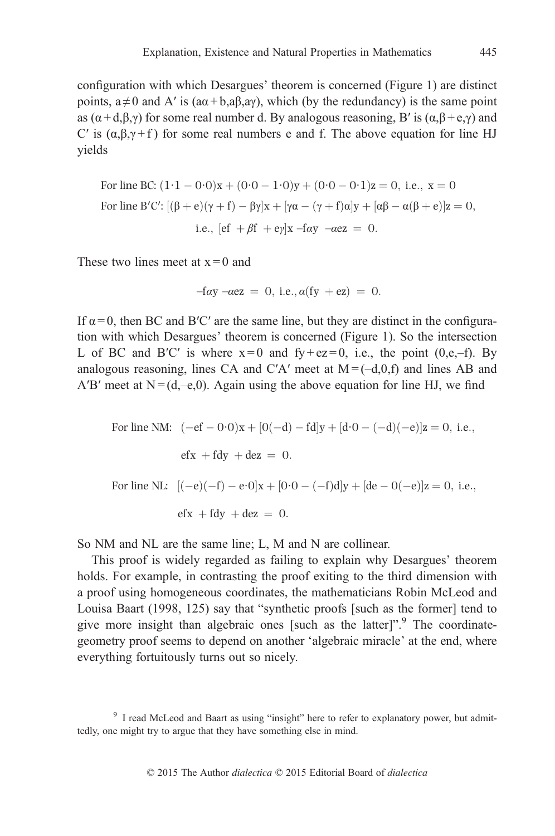configuration with which Desargues' theorem is concerned (Figure 1) are distinct points,  $a \neq 0$  and A' is  $(a\alpha + b, a\beta, a\gamma)$ , which (by the redundancy) is the same point as  $(\alpha + d, \beta, \gamma)$  for some real number d. By analogous reasoning, B' is  $(\alpha, \beta + e, \gamma)$  and C' is  $(\alpha, \beta, \gamma + f)$  for some real numbers e and f. The above equation for line HJ yields

For line BC: 
$$
(1 \cdot 1 - 0 \cdot 0)x + (0 \cdot 0 - 1 \cdot 0)y + (0 \cdot 0 - 0 \cdot 1)z = 0
$$
, i.e.,  $x = 0$   
For line B'C':  $[(\beta + e)(\gamma + f) - \beta \gamma]x + [\gamma \alpha - (\gamma + f)\alpha]y + [\alpha \beta - \alpha(\beta + e)]z = 0$ ,  
i.e.,  $[ef + \beta f + ey]x - \alpha ez = 0$ .

These two lines meet at  $x = 0$  and

$$
-f\alpha y - \alpha e z = 0, \text{ i.e., } \alpha (f y + e z) = 0.
$$

If  $\alpha = 0$ , then BC and B'C' are the same line, but they are distinct in the configuration with which Desargues' theorem is concerned (Figure 1). So the intersection L of BC and B'C' is where  $x=0$  and  $fy+ez=0$ , i.e., the point  $(0,e,-f)$ . By analogous reasoning, lines CA and C'A' meet at  $M = (-d, 0, f)$  and lines AB and A'B' meet at  $N = (d,-e,0)$ . Again using the above equation for line HJ, we find

For line NM: 
$$
(-ef - 0.0)x + [0(-d) - fd]y + [d \cdot 0 - (-d)(-e)]z = 0
$$
, i.e.,  
\n
$$
efx + fdy + dez = 0.
$$
\nFor line NL:  $[(-e)(-f) - e \cdot 0]x + [0 \cdot 0 - (-f)d]y + [de - 0(-e)]z = 0$ , i.e.,  
\n
$$
efx + fdy + dez = 0.
$$

So NM and NL are the same line; L, M and N are collinear.

This proof is widely regarded as failing to explain why Desargues' theorem holds. For example, in contrasting the proof exiting to the third dimension with a proof using homogeneous coordinates, the mathematicians Robin McLeod and Louisa Baart (1998, 125) say that "synthetic proofs [such as the former] tend to give more insight than algebraic ones [such as the latter]".<sup>9</sup> The coordinategeometry proof seems to depend on another 'algebraic miracle' at the end, where everything fortuitously turns out so nicely.

<sup>9</sup> I read McLeod and Baart as using "insight" here to refer to explanatory power, but admittedly, one might try to argue that they have something else in mind.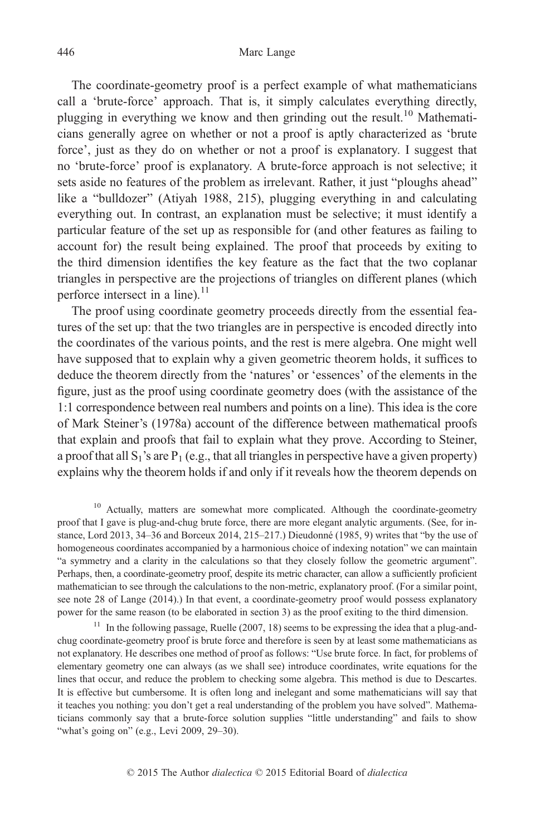The coordinate-geometry proof is a perfect example of what mathematicians call a 'brute-force' approach. That is, it simply calculates everything directly, plugging in everything we know and then grinding out the result.<sup>10</sup> Mathematicians generally agree on whether or not a proof is aptly characterized as 'brute force', just as they do on whether or not a proof is explanatory. I suggest that no 'brute-force' proof is explanatory. A brute-force approach is not selective; it sets aside no features of the problem as irrelevant. Rather, it just "ploughs ahead" like a "bulldozer" (Atiyah 1988, 215), plugging everything in and calculating everything out. In contrast, an explanation must be selective; it must identify a particular feature of the set up as responsible for (and other features as failing to account for) the result being explained. The proof that proceeds by exiting to the third dimension identifies the key feature as the fact that the two coplanar triangles in perspective are the projections of triangles on different planes (which perforce intersect in a line). $^{11}$ 

The proof using coordinate geometry proceeds directly from the essential features of the set up: that the two triangles are in perspective is encoded directly into the coordinates of the various points, and the rest is mere algebra. One might well have supposed that to explain why a given geometric theorem holds, it suffices to deduce the theorem directly from the 'natures' or 'essences' of the elements in the figure, just as the proof using coordinate geometry does (with the assistance of the 1:1 correspondence between real numbers and points on a line). This idea is the core of Mark Steiner's (1978a) account of the difference between mathematical proofs that explain and proofs that fail to explain what they prove. According to Steiner, a proof that all  $S_1$ 's are  $P_1$  (e.g., that all triangles in perspective have a given property) explains why the theorem holds if and only if it reveals how the theorem depends on

<sup>10</sup> Actually, matters are somewhat more complicated. Although the coordinate-geometry proof that I gave is plug-and-chug brute force, there are more elegant analytic arguments. (See, for instance, Lord 2013, 34–36 and Borceux 2014, 215–217.) Dieudonné (1985, 9) writes that "by the use of homogeneous coordinates accompanied by a harmonious choice of indexing notation" we can maintain "a symmetry and a clarity in the calculations so that they closely follow the geometric argument". Perhaps, then, a coordinate-geometry proof, despite its metric character, can allow a sufficiently proficient mathematician to see through the calculations to the non-metric, explanatory proof. (For a similar point, see note 28 of Lange (2014).) In that event, a coordinate-geometry proof would possess explanatory power for the same reason (to be elaborated in section 3) as the proof exiting to the third dimension.

 $11$  In the following passage, Ruelle (2007, 18) seems to be expressing the idea that a plug-andchug coordinate-geometry proof is brute force and therefore is seen by at least some mathematicians as not explanatory. He describes one method of proof as follows: "Use brute force. In fact, for problems of elementary geometry one can always (as we shall see) introduce coordinates, write equations for the lines that occur, and reduce the problem to checking some algebra. This method is due to Descartes. It is effective but cumbersome. It is often long and inelegant and some mathematicians will say that it teaches you nothing: you don't get a real understanding of the problem you have solved". Mathematicians commonly say that a brute-force solution supplies "little understanding" and fails to show "what's going on" (e.g., Levi 2009, 29-30).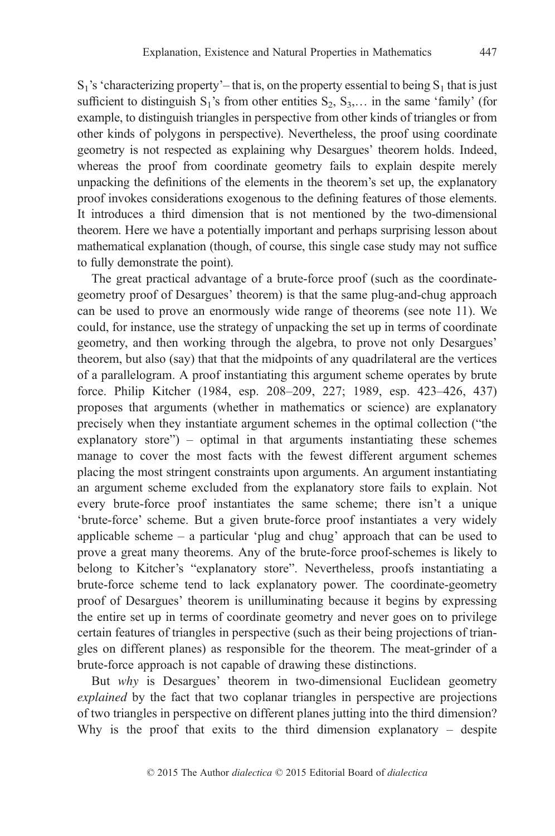$S_1$ 's 'characterizing property'– that is, on the property essential to being  $S_1$  that is just sufficient to distinguish  $S_1$ 's from other entities  $S_2, S_3, \ldots$  in the same 'family' (for example, to distinguish triangles in perspective from other kinds of triangles or from other kinds of polygons in perspective). Nevertheless, the proof using coordinate geometry is not respected as explaining why Desargues' theorem holds. Indeed, whereas the proof from coordinate geometry fails to explain despite merely unpacking the definitions of the elements in the theorem's set up, the explanatory proof invokes considerations exogenous to the defining features of those elements. It introduces a third dimension that is not mentioned by the two-dimensional theorem. Here we have a potentially important and perhaps surprising lesson about mathematical explanation (though, of course, this single case study may not suffice to fully demonstrate the point).

The great practical advantage of a brute-force proof (such as the coordinategeometry proof of Desargues' theorem) is that the same plug-and-chug approach can be used to prove an enormously wide range of theorems (see note 11). We could, for instance, use the strategy of unpacking the set up in terms of coordinate geometry, and then working through the algebra, to prove not only Desargues' theorem, but also (say) that that the midpoints of any quadrilateral are the vertices of a parallelogram. A proof instantiating this argument scheme operates by brute force. Philip Kitcher (1984, esp. 208–209, 227; 1989, esp. 423–426, 437) proposes that arguments (whether in mathematics or science) are explanatory precisely when they instantiate argument schemes in the optimal collection ("the explanatory store") – optimal in that arguments instantiating these schemes manage to cover the most facts with the fewest different argument schemes placing the most stringent constraints upon arguments. An argument instantiating an argument scheme excluded from the explanatory store fails to explain. Not every brute-force proof instantiates the same scheme; there isn't a unique 'brute-force' scheme. But a given brute-force proof instantiates a very widely applicable scheme – a particular 'plug and chug' approach that can be used to prove a great many theorems. Any of the brute-force proof-schemes is likely to belong to Kitcher's "explanatory store". Nevertheless, proofs instantiating a brute-force scheme tend to lack explanatory power. The coordinate-geometry proof of Desargues' theorem is unilluminating because it begins by expressing the entire set up in terms of coordinate geometry and never goes on to privilege certain features of triangles in perspective (such as their being projections of triangles on different planes) as responsible for the theorem. The meat-grinder of a brute-force approach is not capable of drawing these distinctions.

But why is Desargues' theorem in two-dimensional Euclidean geometry explained by the fact that two coplanar triangles in perspective are projections of two triangles in perspective on different planes jutting into the third dimension? Why is the proof that exits to the third dimension explanatory – despite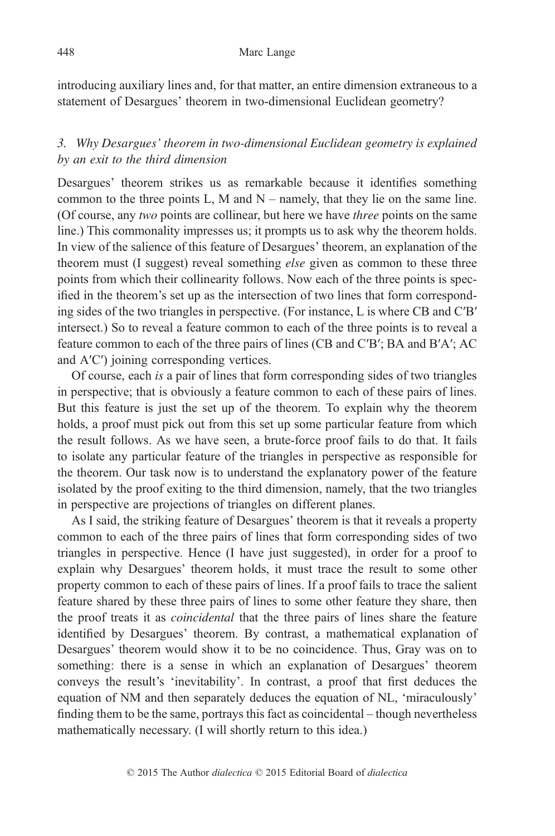introducing auxiliary lines and, for that matter, an entire dimension extraneous to a statement of Desargues' theorem in two-dimensional Euclidean geometry?

# 3. Why Desargues' theorem in two-dimensional Euclidean geometry is explained by an exit to the third dimension

Desargues' theorem strikes us as remarkable because it identifies something common to the three points L, M and  $N$  – namely, that they lie on the same line. (Of course, any two points are collinear, but here we have three points on the same line.) This commonality impresses us; it prompts us to ask why the theorem holds. In view of the salience of this feature of Desargues' theorem, an explanation of the theorem must (I suggest) reveal something *else* given as common to these three points from which their collinearity follows. Now each of the three points is specified in the theorem's set up as the intersection of two lines that form corresponding sides of the two triangles in perspective. (For instance, L is where CB and C′B′ intersect.) So to reveal a feature common to each of the three points is to reveal a feature common to each of the three pairs of lines (CB and C′B′; BA and B′A′; AC and A′C′) joining corresponding vertices.

Of course, each is a pair of lines that form corresponding sides of two triangles in perspective; that is obviously a feature common to each of these pairs of lines. But this feature is just the set up of the theorem. To explain why the theorem holds, a proof must pick out from this set up some particular feature from which the result follows. As we have seen, a brute-force proof fails to do that. It fails to isolate any particular feature of the triangles in perspective as responsible for the theorem. Our task now is to understand the explanatory power of the feature isolated by the proof exiting to the third dimension, namely, that the two triangles in perspective are projections of triangles on different planes.

As I said, the striking feature of Desargues' theorem is that it reveals a property common to each of the three pairs of lines that form corresponding sides of two triangles in perspective. Hence (I have just suggested), in order for a proof to explain why Desargues' theorem holds, it must trace the result to some other property common to each of these pairs of lines. If a proof fails to trace the salient feature shared by these three pairs of lines to some other feature they share, then the proof treats it as coincidental that the three pairs of lines share the feature identified by Desargues' theorem. By contrast, a mathematical explanation of Desargues' theorem would show it to be no coincidence. Thus, Gray was on to something: there is a sense in which an explanation of Desargues' theorem conveys the result's 'inevitability'. In contrast, a proof that first deduces the equation of NM and then separately deduces the equation of NL, 'miraculously' finding them to be the same, portrays this fact as coincidental – though nevertheless mathematically necessary. (I will shortly return to this idea.)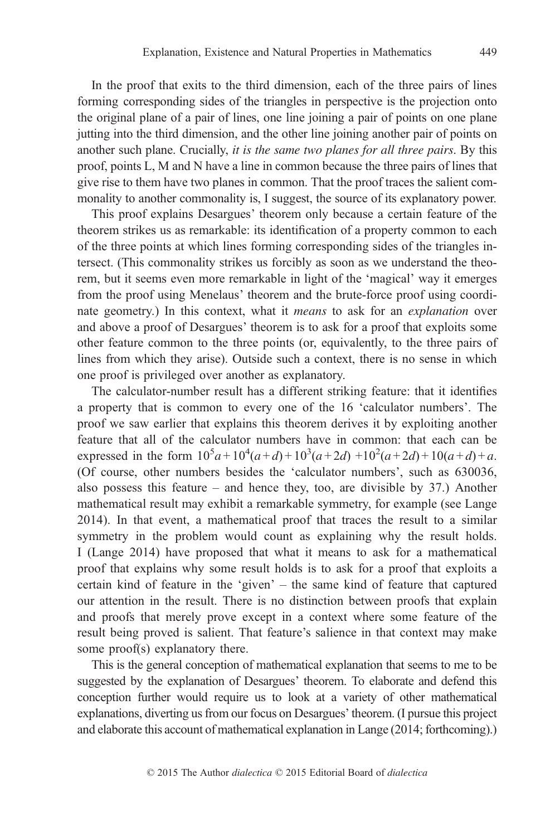In the proof that exits to the third dimension, each of the three pairs of lines forming corresponding sides of the triangles in perspective is the projection onto the original plane of a pair of lines, one line joining a pair of points on one plane jutting into the third dimension, and the other line joining another pair of points on another such plane. Crucially, *it is the same two planes for all three pairs*. By this proof, points L, M and N have a line in common because the three pairs of lines that give rise to them have two planes in common. That the proof traces the salient commonality to another commonality is, I suggest, the source of its explanatory power.

This proof explains Desargues' theorem only because a certain feature of the theorem strikes us as remarkable: its identification of a property common to each of the three points at which lines forming corresponding sides of the triangles intersect. (This commonality strikes us forcibly as soon as we understand the theorem, but it seems even more remarkable in light of the 'magical' way it emerges from the proof using Menelaus' theorem and the brute-force proof using coordinate geometry.) In this context, what it means to ask for an explanation over and above a proof of Desargues' theorem is to ask for a proof that exploits some other feature common to the three points (or, equivalently, to the three pairs of lines from which they arise). Outside such a context, there is no sense in which one proof is privileged over another as explanatory.

The calculator-number result has a different striking feature: that it identifies a property that is common to every one of the 16 'calculator numbers'. The proof we saw earlier that explains this theorem derives it by exploiting another feature that all of the calculator numbers have in common: that each can be expressed in the form  $10^5a+10^4(a+d)+10^3(a+2d)+10^2(a+2d)+10(a+d)+a$ . (Of course, other numbers besides the 'calculator numbers', such as 630036, also possess this feature – and hence they, too, are divisible by  $37$ .) Another mathematical result may exhibit a remarkable symmetry, for example (see Lange 2014). In that event, a mathematical proof that traces the result to a similar symmetry in the problem would count as explaining why the result holds. I (Lange 2014) have proposed that what it means to ask for a mathematical proof that explains why some result holds is to ask for a proof that exploits a certain kind of feature in the 'given' – the same kind of feature that captured our attention in the result. There is no distinction between proofs that explain and proofs that merely prove except in a context where some feature of the result being proved is salient. That feature's salience in that context may make some proof(s) explanatory there.

This is the general conception of mathematical explanation that seems to me to be suggested by the explanation of Desargues' theorem. To elaborate and defend this conception further would require us to look at a variety of other mathematical explanations, diverting us from our focus on Desargues' theorem. (I pursue this project and elaborate this account of mathematical explanation in Lange (2014; forthcoming).)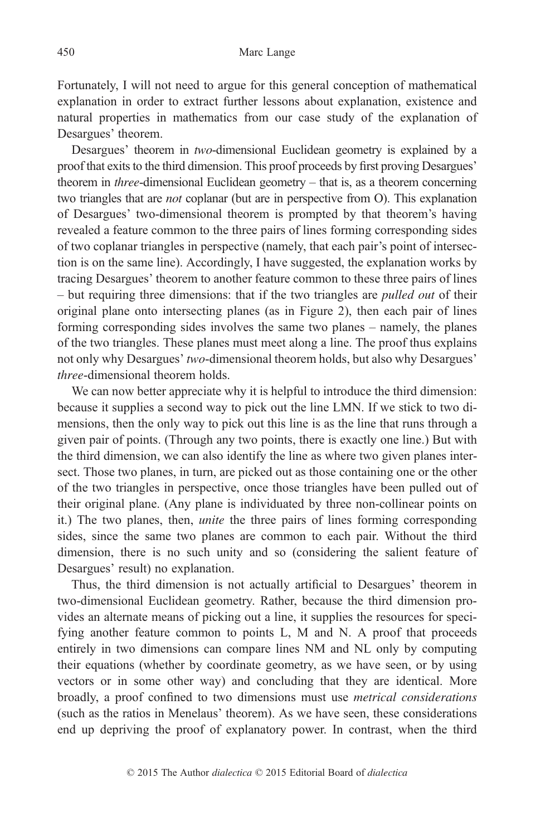Fortunately, I will not need to argue for this general conception of mathematical explanation in order to extract further lessons about explanation, existence and natural properties in mathematics from our case study of the explanation of Desargues' theorem.

Desargues' theorem in two-dimensional Euclidean geometry is explained by a proof that exits to the third dimension. This proof proceeds by first proving Desargues' theorem in three-dimensional Euclidean geometry – that is, as a theorem concerning two triangles that are not coplanar (but are in perspective from O). This explanation of Desargues' two-dimensional theorem is prompted by that theorem's having revealed a feature common to the three pairs of lines forming corresponding sides of two coplanar triangles in perspective (namely, that each pair's point of intersection is on the same line). Accordingly, I have suggested, the explanation works by tracing Desargues' theorem to another feature common to these three pairs of lines – but requiring three dimensions: that if the two triangles are *pulled out* of their original plane onto intersecting planes (as in Figure 2), then each pair of lines forming corresponding sides involves the same two planes – namely, the planes of the two triangles. These planes must meet along a line. The proof thus explains not only why Desargues' two-dimensional theorem holds, but also why Desargues' three-dimensional theorem holds.

We can now better appreciate why it is helpful to introduce the third dimension: because it supplies a second way to pick out the line LMN. If we stick to two dimensions, then the only way to pick out this line is as the line that runs through a given pair of points. (Through any two points, there is exactly one line.) But with the third dimension, we can also identify the line as where two given planes intersect. Those two planes, in turn, are picked out as those containing one or the other of the two triangles in perspective, once those triangles have been pulled out of their original plane. (Any plane is individuated by three non-collinear points on it.) The two planes, then, unite the three pairs of lines forming corresponding sides, since the same two planes are common to each pair. Without the third dimension, there is no such unity and so (considering the salient feature of Desargues' result) no explanation.

Thus, the third dimension is not actually artificial to Desargues' theorem in two-dimensional Euclidean geometry. Rather, because the third dimension provides an alternate means of picking out a line, it supplies the resources for specifying another feature common to points L, M and N. A proof that proceeds entirely in two dimensions can compare lines NM and NL only by computing their equations (whether by coordinate geometry, as we have seen, or by using vectors or in some other way) and concluding that they are identical. More broadly, a proof confined to two dimensions must use metrical considerations (such as the ratios in Menelaus' theorem). As we have seen, these considerations end up depriving the proof of explanatory power. In contrast, when the third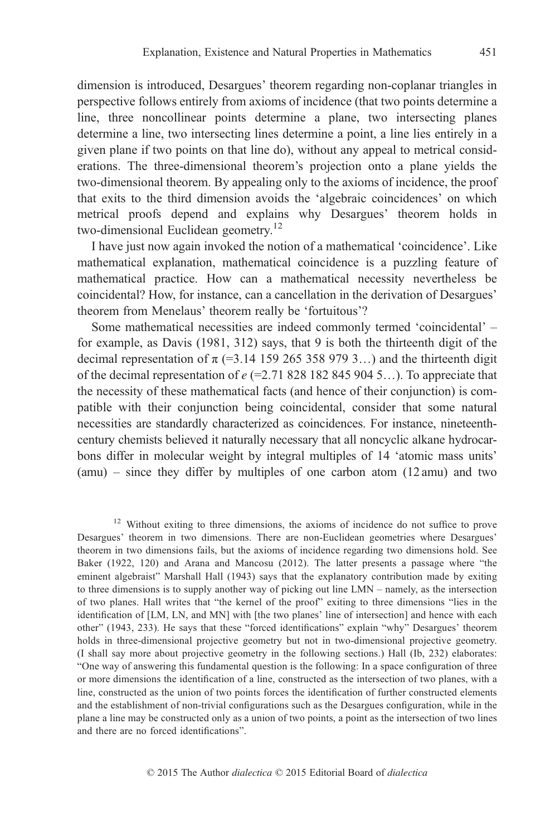dimension is introduced, Desargues' theorem regarding non-coplanar triangles in perspective follows entirely from axioms of incidence (that two points determine a line, three noncollinear points determine a plane, two intersecting planes determine a line, two intersecting lines determine a point, a line lies entirely in a given plane if two points on that line do), without any appeal to metrical considerations. The three-dimensional theorem's projection onto a plane yields the two-dimensional theorem. By appealing only to the axioms of incidence, the proof that exits to the third dimension avoids the 'algebraic coincidences' on which metrical proofs depend and explains why Desargues' theorem holds in two-dimensional Euclidean geometry.<sup>12</sup>

I have just now again invoked the notion of a mathematical 'coincidence'. Like mathematical explanation, mathematical coincidence is a puzzling feature of mathematical practice. How can a mathematical necessity nevertheless be coincidental? How, for instance, can a cancellation in the derivation of Desargues' theorem from Menelaus' theorem really be 'fortuitous'?

Some mathematical necessities are indeed commonly termed 'coincidental' – for example, as Davis (1981, 312) says, that 9 is both the thirteenth digit of the decimal representation of  $\pi$  (=3.14 159 265 358 979 3...) and the thirteenth digit of the decimal representation of  $e (=2.71\,828\,182\,845\,904\,5...)$ . To appreciate that the necessity of these mathematical facts (and hence of their conjunction) is compatible with their conjunction being coincidental, consider that some natural necessities are standardly characterized as coincidences. For instance, nineteenthcentury chemists believed it naturally necessary that all noncyclic alkane hydrocarbons differ in molecular weight by integral multiples of 14 'atomic mass units' (amu) – since they differ by multiples of one carbon atom (12 amu) and two

<sup>12</sup> Without exiting to three dimensions, the axioms of incidence do not suffice to prove Desargues' theorem in two dimensions. There are non-Euclidean geometries where Desargues' theorem in two dimensions fails, but the axioms of incidence regarding two dimensions hold. See Baker (1922, 120) and Arana and Mancosu (2012). The latter presents a passage where "the eminent algebraist" Marshall Hall (1943) says that the explanatory contribution made by exiting to three dimensions is to supply another way of picking out line LMN – namely, as the intersection of two planes. Hall writes that "the kernel of the proof" exiting to three dimensions "lies in the identification of [LM, LN, and MN] with [the two planes' line of intersection] and hence with each other" (1943, 233). He says that these "forced identifications" explain "why" Desargues' theorem holds in three-dimensional projective geometry but not in two-dimensional projective geometry. (I shall say more about projective geometry in the following sections.) Hall (Ib, 232) elaborates: "One way of answering this fundamental question is the following: In a space configuration of three or more dimensions the identification of a line, constructed as the intersection of two planes, with a line, constructed as the union of two points forces the identification of further constructed elements and the establishment of non-trivial configurations such as the Desargues configuration, while in the plane a line may be constructed only as a union of two points, a point as the intersection of two lines and there are no forced identifications".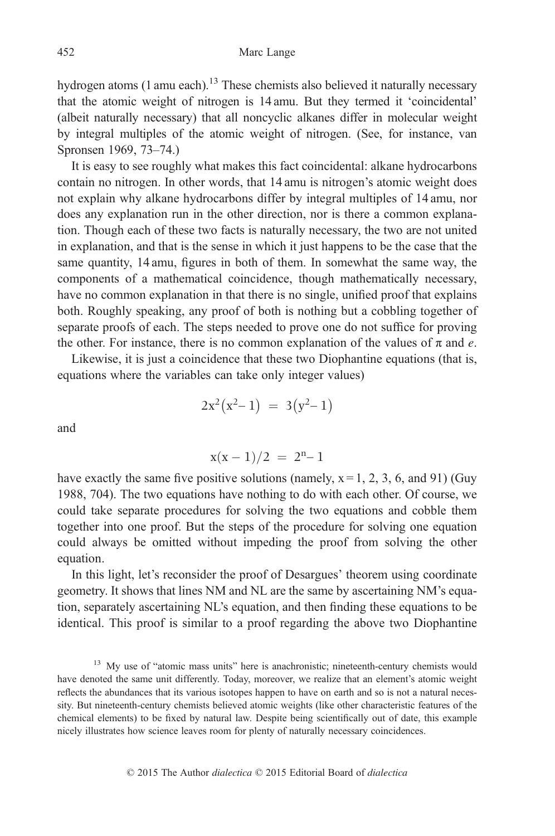hydrogen atoms  $(1 \text{ amu each})$ .<sup>13</sup> These chemists also believed it naturally necessary that the atomic weight of nitrogen is 14 amu. But they termed it 'coincidental' (albeit naturally necessary) that all noncyclic alkanes differ in molecular weight by integral multiples of the atomic weight of nitrogen. (See, for instance, van Spronsen 1969, 73–74.)

It is easy to see roughly what makes this fact coincidental: alkane hydrocarbons contain no nitrogen. In other words, that 14 amu is nitrogen's atomic weight does not explain why alkane hydrocarbons differ by integral multiples of 14 amu, nor does any explanation run in the other direction, nor is there a common explanation. Though each of these two facts is naturally necessary, the two are not united in explanation, and that is the sense in which it just happens to be the case that the same quantity, 14 amu, figures in both of them. In somewhat the same way, the components of a mathematical coincidence, though mathematically necessary, have no common explanation in that there is no single, unified proof that explains both. Roughly speaking, any proof of both is nothing but a cobbling together of separate proofs of each. The steps needed to prove one do not suffice for proving the other. For instance, there is no common explanation of the values of  $\pi$  and e.

Likewise, it is just a coincidence that these two Diophantine equations (that is, equations where the variables can take only integer values)

$$
2x^2(x^2-1) = 3(y^2-1)
$$

and

$$
x(x-1)/2\ =\ 2^n\!\!-1
$$

have exactly the same five positive solutions (namely,  $x = 1, 2, 3, 6$ , and 91) (Guy 1988, 704). The two equations have nothing to do with each other. Of course, we could take separate procedures for solving the two equations and cobble them together into one proof. But the steps of the procedure for solving one equation could always be omitted without impeding the proof from solving the other equation.

In this light, let's reconsider the proof of Desargues' theorem using coordinate geometry. It shows that lines NM and NL are the same by ascertaining NM's equation, separately ascertaining NL's equation, and then finding these equations to be identical. This proof is similar to a proof regarding the above two Diophantine

<sup>13</sup> My use of "atomic mass units" here is anachronistic; nineteenth-century chemists would have denoted the same unit differently. Today, moreover, we realize that an element's atomic weight reflects the abundances that its various isotopes happen to have on earth and so is not a natural necessity. But nineteenth-century chemists believed atomic weights (like other characteristic features of the chemical elements) to be fixed by natural law. Despite being scientifically out of date, this example nicely illustrates how science leaves room for plenty of naturally necessary coincidences.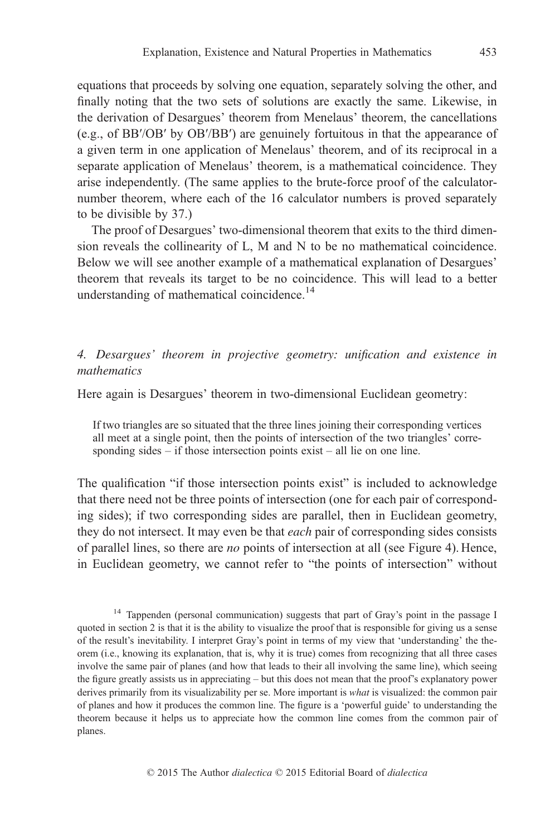equations that proceeds by solving one equation, separately solving the other, and finally noting that the two sets of solutions are exactly the same. Likewise, in the derivation of Desargues' theorem from Menelaus' theorem, the cancellations (e.g., of BB′/OB′ by OB′/BB′) are genuinely fortuitous in that the appearance of a given term in one application of Menelaus' theorem, and of its reciprocal in a separate application of Menelaus' theorem, is a mathematical coincidence. They arise independently. (The same applies to the brute-force proof of the calculatornumber theorem, where each of the 16 calculator numbers is proved separately to be divisible by 37.)

The proof of Desargues' two-dimensional theorem that exits to the third dimension reveals the collinearity of L, M and N to be no mathematical coincidence. Below we will see another example of a mathematical explanation of Desargues' theorem that reveals its target to be no coincidence. This will lead to a better understanding of mathematical coincidence.<sup>14</sup>

### 4. Desargues' theorem in projective geometry: unification and existence in mathematics

Here again is Desargues' theorem in two-dimensional Euclidean geometry:

If two triangles are so situated that the three lines joining their corresponding vertices all meet at a single point, then the points of intersection of the two triangles' corresponding sides – if those intersection points exist – all lie on one line.

The qualification "if those intersection points exist" is included to acknowledge that there need not be three points of intersection (one for each pair of corresponding sides); if two corresponding sides are parallel, then in Euclidean geometry, they do not intersect. It may even be that *each* pair of corresponding sides consists of parallel lines, so there are no points of intersection at all (see Figure 4). Hence, in Euclidean geometry, we cannot refer to "the points of intersection" without

<sup>14</sup> Tappenden (personal communication) suggests that part of Gray's point in the passage I quoted in section 2 is that it is the ability to visualize the proof that is responsible for giving us a sense of the result's inevitability. I interpret Gray's point in terms of my view that 'understanding' the theorem (i.e., knowing its explanation, that is, why it is true) comes from recognizing that all three cases involve the same pair of planes (and how that leads to their all involving the same line), which seeing the figure greatly assists us in appreciating – but this does not mean that the proof's explanatory power derives primarily from its visualizability per se. More important is *what* is visualized: the common pair of planes and how it produces the common line. The figure is a 'powerful guide' to understanding the theorem because it helps us to appreciate how the common line comes from the common pair of planes.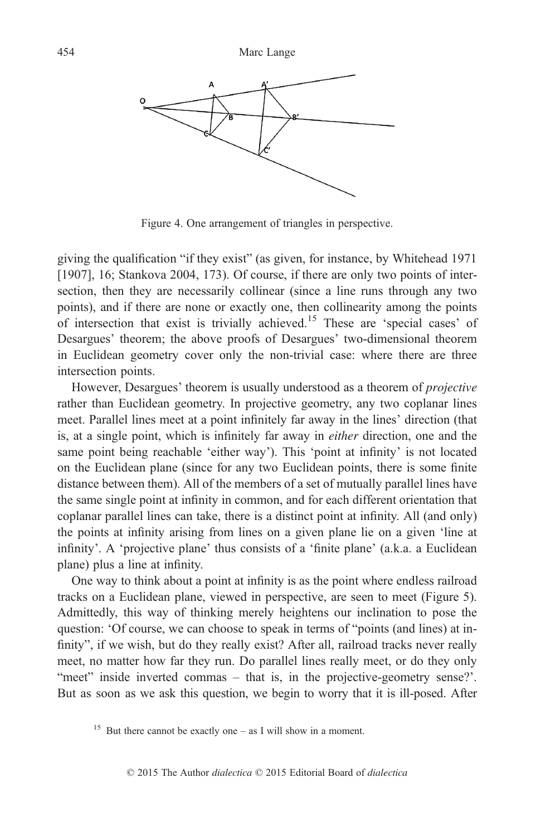

Figure 4. One arrangement of triangles in perspective.

giving the qualification "if they exist" (as given, for instance, by Whitehead 1971 [1907], 16; Stankova 2004, 173). Of course, if there are only two points of intersection, then they are necessarily collinear (since a line runs through any two points), and if there are none or exactly one, then collinearity among the points of intersection that exist is trivially achieved.<sup>15</sup> These are 'special cases' of Desargues' theorem; the above proofs of Desargues' two-dimensional theorem in Euclidean geometry cover only the non-trivial case: where there are three intersection points.

However, Desargues' theorem is usually understood as a theorem of projective rather than Euclidean geometry. In projective geometry, any two coplanar lines meet. Parallel lines meet at a point infinitely far away in the lines' direction (that is, at a single point, which is infinitely far away in either direction, one and the same point being reachable 'either way'). This 'point at infinity' is not located on the Euclidean plane (since for any two Euclidean points, there is some finite distance between them). All of the members of a set of mutually parallel lines have the same single point at infinity in common, and for each different orientation that coplanar parallel lines can take, there is a distinct point at infinity. All (and only) the points at infinity arising from lines on a given plane lie on a given 'line at infinity'. A 'projective plane' thus consists of a 'finite plane' (a.k.a. a Euclidean plane) plus a line at infinity.

One way to think about a point at infinity is as the point where endless railroad tracks on a Euclidean plane, viewed in perspective, are seen to meet (Figure 5). Admittedly, this way of thinking merely heightens our inclination to pose the question: 'Of course, we can choose to speak in terms of "points (and lines) at infinity", if we wish, but do they really exist? After all, railroad tracks never really meet, no matter how far they run. Do parallel lines really meet, or do they only "meet" inside inverted commas – that is, in the projective-geometry sense?'. But as soon as we ask this question, we begin to worry that it is ill-posed. After

<sup>&</sup>lt;sup>15</sup> But there cannot be exactly one – as I will show in a moment.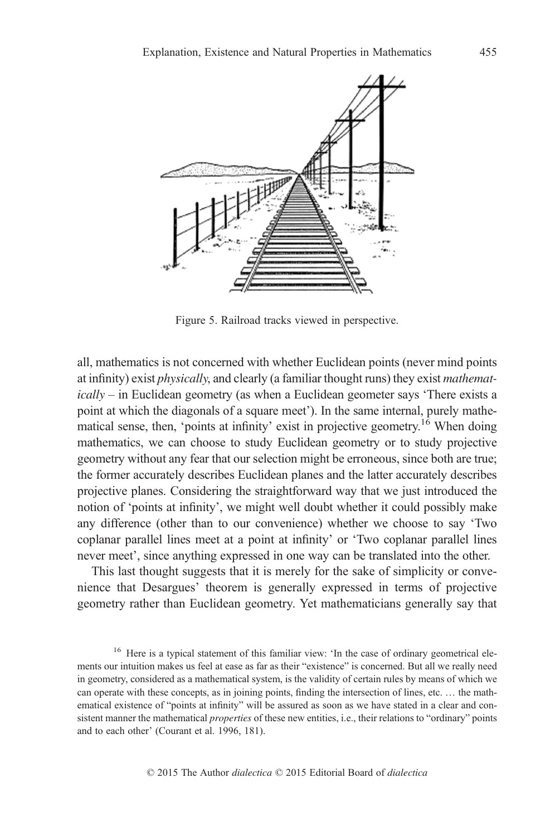

Figure 5. Railroad tracks viewed in perspective.

all, mathematics is not concerned with whether Euclidean points (never mind points at infinity) exist physically, and clearly (a familiar thought runs) they exist mathematically – in Euclidean geometry (as when a Euclidean geometer says 'There exists a point at which the diagonals of a square meet'). In the same internal, purely mathematical sense, then, 'points at infinity' exist in projective geometry.16 When doing mathematics, we can choose to study Euclidean geometry or to study projective geometry without any fear that our selection might be erroneous, since both are true; the former accurately describes Euclidean planes and the latter accurately describes projective planes. Considering the straightforward way that we just introduced the notion of 'points at infinity', we might well doubt whether it could possibly make any difference (other than to our convenience) whether we choose to say 'Two coplanar parallel lines meet at a point at infinity' or 'Two coplanar parallel lines never meet', since anything expressed in one way can be translated into the other.

This last thought suggests that it is merely for the sake of simplicity or convenience that Desargues' theorem is generally expressed in terms of projective geometry rather than Euclidean geometry. Yet mathematicians generally say that

<sup>16</sup> Here is a typical statement of this familiar view: 'In the case of ordinary geometrical elements our intuition makes us feel at ease as far as their "existence" is concerned. But all we really need in geometry, considered as a mathematical system, is the validity of certain rules by means of which we can operate with these concepts, as in joining points, finding the intersection of lines, etc. … the mathematical existence of "points at infinity" will be assured as soon as we have stated in a clear and consistent manner the mathematical *properties* of these new entities, i.e., their relations to "ordinary" points and to each other' (Courant et al. 1996, 181).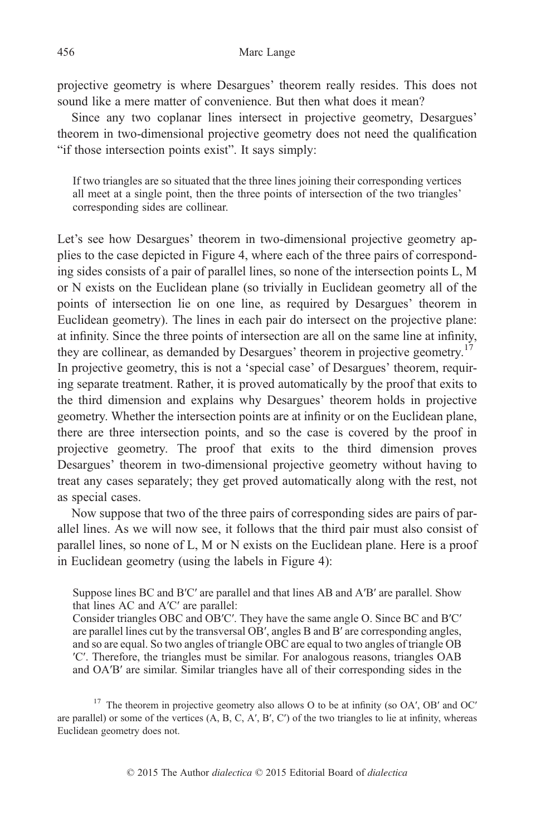projective geometry is where Desargues' theorem really resides. This does not sound like a mere matter of convenience. But then what does it mean?

Since any two coplanar lines intersect in projective geometry, Desargues' theorem in two-dimensional projective geometry does not need the qualification "if those intersection points exist". It says simply:

If two triangles are so situated that the three lines joining their corresponding vertices all meet at a single point, then the three points of intersection of the two triangles' corresponding sides are collinear.

Let's see how Desargues' theorem in two-dimensional projective geometry applies to the case depicted in Figure 4, where each of the three pairs of corresponding sides consists of a pair of parallel lines, so none of the intersection points L, M or N exists on the Euclidean plane (so trivially in Euclidean geometry all of the points of intersection lie on one line, as required by Desargues' theorem in Euclidean geometry). The lines in each pair do intersect on the projective plane: at infinity. Since the three points of intersection are all on the same line at infinity, they are collinear, as demanded by Desargues' theorem in projective geometry.<sup>17</sup> In projective geometry, this is not a 'special case' of Desargues' theorem, requiring separate treatment. Rather, it is proved automatically by the proof that exits to the third dimension and explains why Desargues' theorem holds in projective geometry. Whether the intersection points are at infinity or on the Euclidean plane, there are three intersection points, and so the case is covered by the proof in projective geometry. The proof that exits to the third dimension proves Desargues' theorem in two-dimensional projective geometry without having to treat any cases separately; they get proved automatically along with the rest, not as special cases.

Now suppose that two of the three pairs of corresponding sides are pairs of parallel lines. As we will now see, it follows that the third pair must also consist of parallel lines, so none of L, M or N exists on the Euclidean plane. Here is a proof in Euclidean geometry (using the labels in Figure 4):

Suppose lines BC and B′C′ are parallel and that lines AB and A′B′ are parallel. Show that lines AC and A′C′ are parallel:

Consider triangles OBC and OB′C′. They have the same angle O. Since BC and B′C′ are parallel lines cut by the transversal OB′, angles B and B′ are corresponding angles, and so are equal. So two angles of triangle OBC are equal to two angles of triangle OB ′C′. Therefore, the triangles must be similar. For analogous reasons, triangles OAB and OA′B′ are similar. Similar triangles have all of their corresponding sides in the

<sup>17</sup> The theorem in projective geometry also allows O to be at infinity (so OA', OB' and OC' are parallel) or some of the vertices (A, B, C, A′, B′, C′) of the two triangles to lie at infinity, whereas Euclidean geometry does not.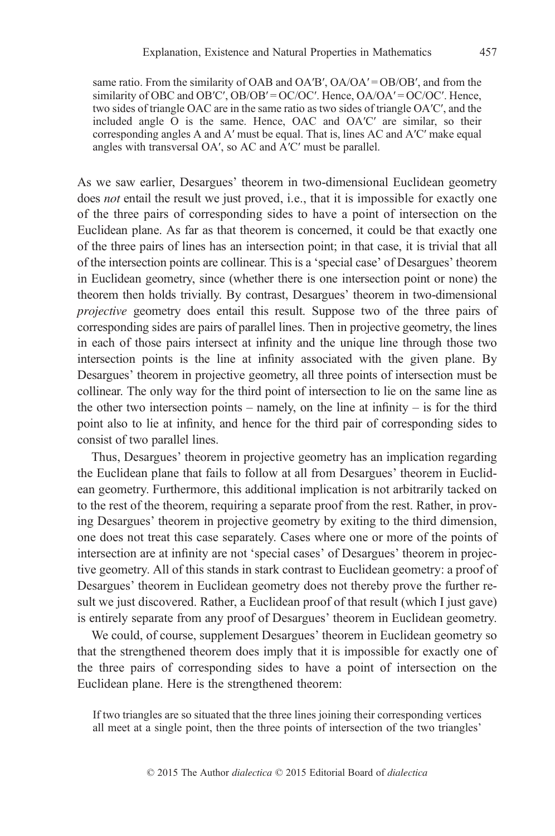same ratio. From the similarity of OAB and OA′B′, OA/OA′ = OB/OB′, and from the similarity of OBC and OB′C′, OB/OB′ = OC/OC′. Hence, OA/OA′ = OC/OC′. Hence, two sides of triangle OAC are in the same ratio as two sides of triangle OA′C′, and the included angle O is the same. Hence, OAC and OA′C′ are similar, so their corresponding angles A and A′ must be equal. That is, lines AC and A′C′ make equal angles with transversal OA′, so AC and A′C′ must be parallel.

As we saw earlier, Desargues' theorem in two-dimensional Euclidean geometry does not entail the result we just proved, i.e., that it is impossible for exactly one of the three pairs of corresponding sides to have a point of intersection on the Euclidean plane. As far as that theorem is concerned, it could be that exactly one of the three pairs of lines has an intersection point; in that case, it is trivial that all of the intersection points are collinear. This is a 'special case' of Desargues' theorem in Euclidean geometry, since (whether there is one intersection point or none) the theorem then holds trivially. By contrast, Desargues' theorem in two-dimensional projective geometry does entail this result. Suppose two of the three pairs of corresponding sides are pairs of parallel lines. Then in projective geometry, the lines in each of those pairs intersect at infinity and the unique line through those two intersection points is the line at infinity associated with the given plane. By Desargues' theorem in projective geometry, all three points of intersection must be collinear. The only way for the third point of intersection to lie on the same line as the other two intersection points – namely, on the line at infinity – is for the third point also to lie at infinity, and hence for the third pair of corresponding sides to consist of two parallel lines.

Thus, Desargues' theorem in projective geometry has an implication regarding the Euclidean plane that fails to follow at all from Desargues' theorem in Euclidean geometry. Furthermore, this additional implication is not arbitrarily tacked on to the rest of the theorem, requiring a separate proof from the rest. Rather, in proving Desargues' theorem in projective geometry by exiting to the third dimension, one does not treat this case separately. Cases where one or more of the points of intersection are at infinity are not 'special cases' of Desargues' theorem in projective geometry. All of this stands in stark contrast to Euclidean geometry: a proof of Desargues' theorem in Euclidean geometry does not thereby prove the further result we just discovered. Rather, a Euclidean proof of that result (which I just gave) is entirely separate from any proof of Desargues' theorem in Euclidean geometry.

We could, of course, supplement Desargues' theorem in Euclidean geometry so that the strengthened theorem does imply that it is impossible for exactly one of the three pairs of corresponding sides to have a point of intersection on the Euclidean plane. Here is the strengthened theorem:

If two triangles are so situated that the three lines joining their corresponding vertices all meet at a single point, then the three points of intersection of the two triangles'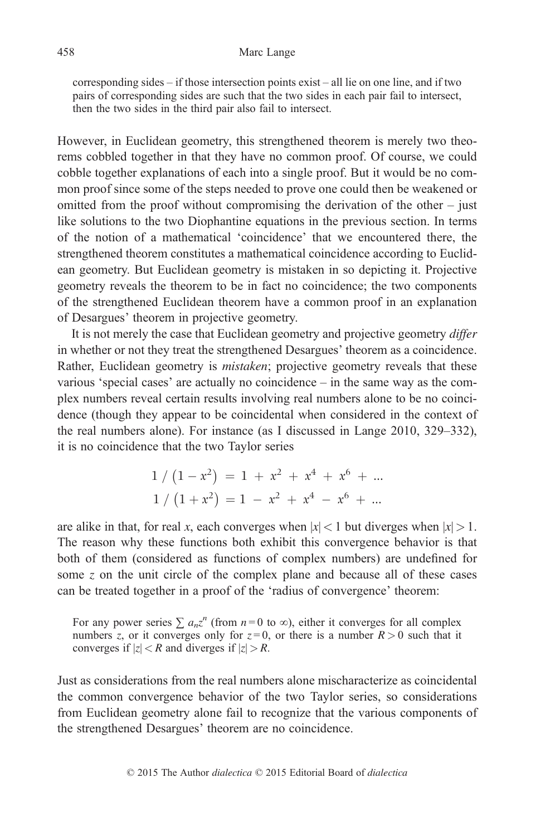corresponding sides – if those intersection points exist – all lie on one line, and if two pairs of corresponding sides are such that the two sides in each pair fail to intersect, then the two sides in the third pair also fail to intersect.

However, in Euclidean geometry, this strengthened theorem is merely two theorems cobbled together in that they have no common proof. Of course, we could cobble together explanations of each into a single proof. But it would be no common proof since some of the steps needed to prove one could then be weakened or omitted from the proof without compromising the derivation of the other  $-$  just like solutions to the two Diophantine equations in the previous section. In terms of the notion of a mathematical 'coincidence' that we encountered there, the strengthened theorem constitutes a mathematical coincidence according to Euclidean geometry. But Euclidean geometry is mistaken in so depicting it. Projective geometry reveals the theorem to be in fact no coincidence; the two components of the strengthened Euclidean theorem have a common proof in an explanation of Desargues' theorem in projective geometry.

It is not merely the case that Euclidean geometry and projective geometry differ in whether or not they treat the strengthened Desargues' theorem as a coincidence. Rather, Euclidean geometry is mistaken; projective geometry reveals that these various 'special cases' are actually no coincidence – in the same way as the complex numbers reveal certain results involving real numbers alone to be no coincidence (though they appear to be coincidental when considered in the context of the real numbers alone). For instance (as I discussed in Lange 2010, 329–332), it is no coincidence that the two Taylor series

$$
1 / (1 - x2) = 1 + x2 + x4 + x6 + ...
$$
  

$$
1 / (1 + x2) = 1 - x2 + x4 - x6 + ...
$$

are alike in that, for real x, each converges when  $|x| < 1$  but diverges when  $|x| > 1$ . The reason why these functions both exhibit this convergence behavior is that both of them (considered as functions of complex numbers) are undefined for some  $z$  on the unit circle of the complex plane and because all of these cases can be treated together in a proof of the 'radius of convergence' theorem:

For any power series  $\sum a_n z^n$  (from  $n = 0$  to  $\infty$ ), either it converges for all complex numbers z, or it converges only for  $z=0$ , or there is a number  $R > 0$  such that it converges if  $|z| < R$  and diverges if  $|z| > R$ .

Just as considerations from the real numbers alone mischaracterize as coincidental the common convergence behavior of the two Taylor series, so considerations from Euclidean geometry alone fail to recognize that the various components of the strengthened Desargues' theorem are no coincidence.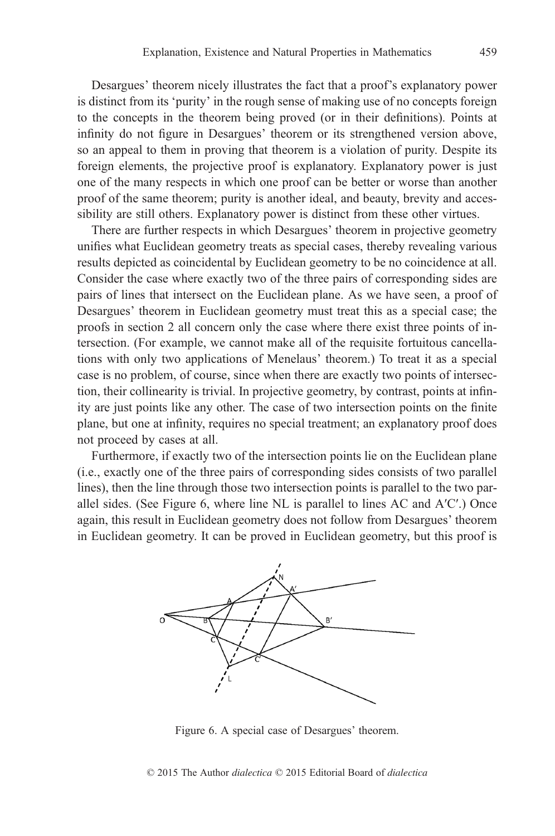Desargues' theorem nicely illustrates the fact that a proof's explanatory power is distinct from its 'purity' in the rough sense of making use of no concepts foreign to the concepts in the theorem being proved (or in their definitions). Points at infinity do not figure in Desargues' theorem or its strengthened version above, so an appeal to them in proving that theorem is a violation of purity. Despite its foreign elements, the projective proof is explanatory. Explanatory power is just one of the many respects in which one proof can be better or worse than another proof of the same theorem; purity is another ideal, and beauty, brevity and accessibility are still others. Explanatory power is distinct from these other virtues.

There are further respects in which Desargues' theorem in projective geometry unifies what Euclidean geometry treats as special cases, thereby revealing various results depicted as coincidental by Euclidean geometry to be no coincidence at all. Consider the case where exactly two of the three pairs of corresponding sides are pairs of lines that intersect on the Euclidean plane. As we have seen, a proof of Desargues' theorem in Euclidean geometry must treat this as a special case; the proofs in section 2 all concern only the case where there exist three points of intersection. (For example, we cannot make all of the requisite fortuitous cancellations with only two applications of Menelaus' theorem.) To treat it as a special case is no problem, of course, since when there are exactly two points of intersection, their collinearity is trivial. In projective geometry, by contrast, points at infinity are just points like any other. The case of two intersection points on the finite plane, but one at infinity, requires no special treatment; an explanatory proof does not proceed by cases at all.

Furthermore, if exactly two of the intersection points lie on the Euclidean plane (i.e., exactly one of the three pairs of corresponding sides consists of two parallel lines), then the line through those two intersection points is parallel to the two parallel sides. (See Figure 6, where line NL is parallel to lines AC and A′C′.) Once again, this result in Euclidean geometry does not follow from Desargues' theorem in Euclidean geometry. It can be proved in Euclidean geometry, but this proof is



Figure 6. A special case of Desargues' theorem.

© 2015 The Author dialectica © 2015 Editorial Board of dialectica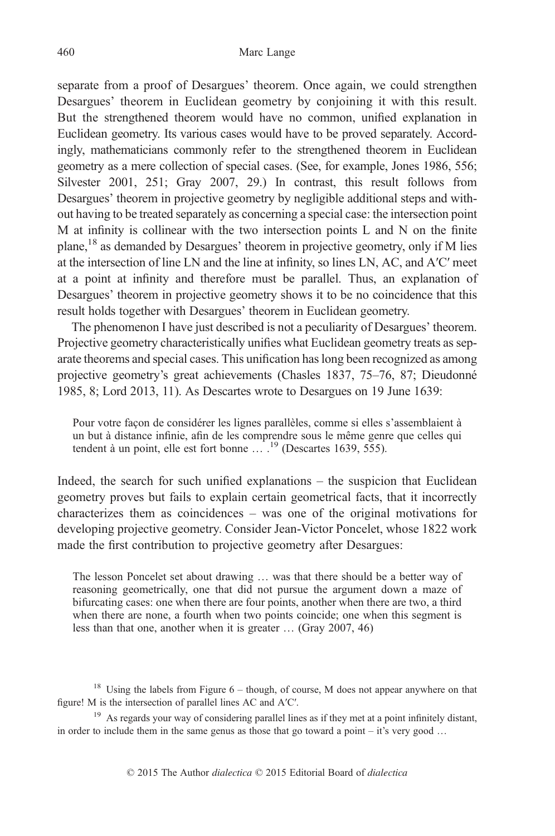separate from a proof of Desargues' theorem. Once again, we could strengthen Desargues' theorem in Euclidean geometry by conjoining it with this result. But the strengthened theorem would have no common, unified explanation in Euclidean geometry. Its various cases would have to be proved separately. Accordingly, mathematicians commonly refer to the strengthened theorem in Euclidean geometry as a mere collection of special cases. (See, for example, Jones 1986, 556; Silvester 2001, 251; Gray 2007, 29.) In contrast, this result follows from Desargues' theorem in projective geometry by negligible additional steps and without having to be treated separately as concerning a special case: the intersection point M at infinity is collinear with the two intersection points L and N on the finite plane,<sup>18</sup> as demanded by Desargues' theorem in projective geometry, only if M lies at the intersection of line LN and the line at infinity, so lines LN, AC, and A′C′ meet at a point at infinity and therefore must be parallel. Thus, an explanation of Desargues' theorem in projective geometry shows it to be no coincidence that this result holds together with Desargues' theorem in Euclidean geometry.

The phenomenon I have just described is not a peculiarity of Desargues' theorem. Projective geometry characteristically unifies what Euclidean geometry treats as separate theorems and special cases. This unification has long been recognized as among projective geometry's great achievements (Chasles 1837, 75–76, 87; Dieudonné 1985, 8; Lord 2013, 11). As Descartes wrote to Desargues on 19 June 1639:

Pour votre façon de considérer les lignes parallèles, comme si elles s'assemblaient à un but à distance infinie, afin de les comprendre sous le même genre que celles qui tendent à un point, elle est fort bonne  $\ldots$ .<sup>19</sup> (Descartes 1639, 555).

Indeed, the search for such unified explanations – the suspicion that Euclidean geometry proves but fails to explain certain geometrical facts, that it incorrectly characterizes them as coincidences – was one of the original motivations for developing projective geometry. Consider Jean-Victor Poncelet, whose 1822 work made the first contribution to projective geometry after Desargues:

The lesson Poncelet set about drawing … was that there should be a better way of reasoning geometrically, one that did not pursue the argument down a maze of bifurcating cases: one when there are four points, another when there are two, a third when there are none, a fourth when two points coincide; one when this segment is less than that one, another when it is greater … (Gray 2007, 46)

<sup>19</sup> As regards your way of considering parallel lines as if they met at a point infinitely distant, in order to include them in the same genus as those that go toward a point – it's very good …

 $18$  Using the labels from Figure 6 – though, of course, M does not appear anywhere on that figure! M is the intersection of parallel lines AC and A′C′.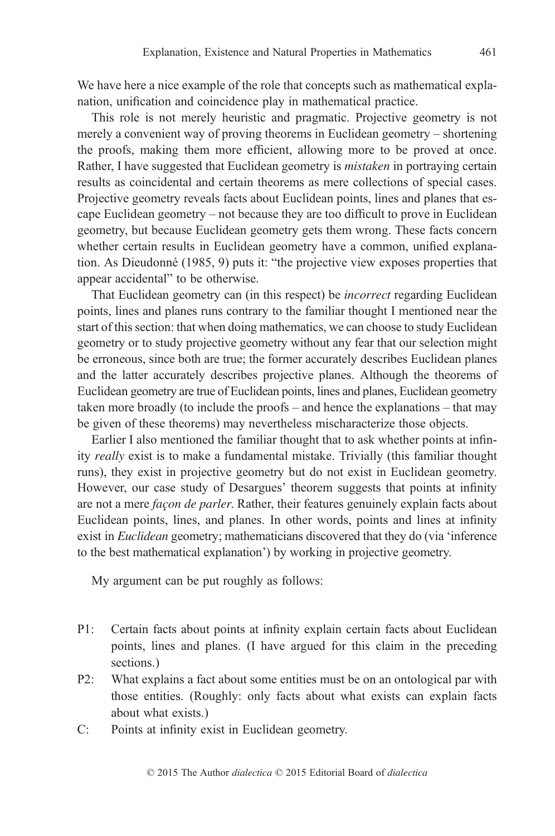We have here a nice example of the role that concepts such as mathematical explanation, unification and coincidence play in mathematical practice.

This role is not merely heuristic and pragmatic. Projective geometry is not merely a convenient way of proving theorems in Euclidean geometry – shortening the proofs, making them more efficient, allowing more to be proved at once. Rather, I have suggested that Euclidean geometry is *mistaken* in portraying certain results as coincidental and certain theorems as mere collections of special cases. Projective geometry reveals facts about Euclidean points, lines and planes that escape Euclidean geometry – not because they are too difficult to prove in Euclidean geometry, but because Euclidean geometry gets them wrong. These facts concern whether certain results in Euclidean geometry have a common, unified explanation. As Dieudonné (1985, 9) puts it: "the projective view exposes properties that appear accidental" to be otherwise.

That Euclidean geometry can (in this respect) be incorrect regarding Euclidean points, lines and planes runs contrary to the familiar thought I mentioned near the start of this section: that when doing mathematics, we can choose to study Euclidean geometry or to study projective geometry without any fear that our selection might be erroneous, since both are true; the former accurately describes Euclidean planes and the latter accurately describes projective planes. Although the theorems of Euclidean geometry are true of Euclidean points, lines and planes, Euclidean geometry taken more broadly (to include the proofs – and hence the explanations – that may be given of these theorems) may nevertheless mischaracterize those objects.

Earlier I also mentioned the familiar thought that to ask whether points at infinity really exist is to make a fundamental mistake. Trivially (this familiar thought runs), they exist in projective geometry but do not exist in Euclidean geometry. However, our case study of Desargues' theorem suggests that points at infinity are not a mere façon de parler. Rather, their features genuinely explain facts about Euclidean points, lines, and planes. In other words, points and lines at infinity exist in *Euclidean* geometry; mathematicians discovered that they do (via 'inference to the best mathematical explanation') by working in projective geometry.

My argument can be put roughly as follows:

- P1: Certain facts about points at infinity explain certain facts about Euclidean points, lines and planes. (I have argued for this claim in the preceding sections.)
- P2: What explains a fact about some entities must be on an ontological par with those entities. (Roughly: only facts about what exists can explain facts about what exists.)
- C: Points at infinity exist in Euclidean geometry.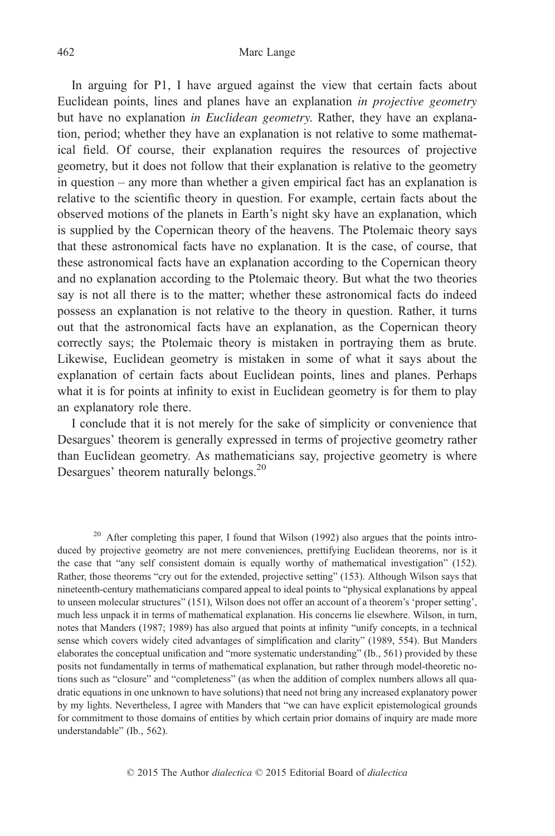In arguing for P1, I have argued against the view that certain facts about Euclidean points, lines and planes have an explanation in projective geometry but have no explanation *in Euclidean geometry*. Rather, they have an explanation, period; whether they have an explanation is not relative to some mathematical field. Of course, their explanation requires the resources of projective geometry, but it does not follow that their explanation is relative to the geometry in question – any more than whether a given empirical fact has an explanation is relative to the scientific theory in question. For example, certain facts about the observed motions of the planets in Earth's night sky have an explanation, which is supplied by the Copernican theory of the heavens. The Ptolemaic theory says that these astronomical facts have no explanation. It is the case, of course, that these astronomical facts have an explanation according to the Copernican theory and no explanation according to the Ptolemaic theory. But what the two theories say is not all there is to the matter; whether these astronomical facts do indeed possess an explanation is not relative to the theory in question. Rather, it turns out that the astronomical facts have an explanation, as the Copernican theory correctly says; the Ptolemaic theory is mistaken in portraying them as brute. Likewise, Euclidean geometry is mistaken in some of what it says about the explanation of certain facts about Euclidean points, lines and planes. Perhaps what it is for points at infinity to exist in Euclidean geometry is for them to play an explanatory role there.

I conclude that it is not merely for the sake of simplicity or convenience that Desargues' theorem is generally expressed in terms of projective geometry rather than Euclidean geometry. As mathematicians say, projective geometry is where Desargues' theorem naturally belongs.<sup>20</sup>

<sup>20</sup> After completing this paper, I found that Wilson (1992) also argues that the points introduced by projective geometry are not mere conveniences, prettifying Euclidean theorems, nor is it the case that "any self consistent domain is equally worthy of mathematical investigation" (152). Rather, those theorems "cry out for the extended, projective setting" (153). Although Wilson says that nineteenth-century mathematicians compared appeal to ideal points to "physical explanations by appeal to unseen molecular structures" (151), Wilson does not offer an account of a theorem's 'proper setting', much less unpack it in terms of mathematical explanation. His concerns lie elsewhere. Wilson, in turn, notes that Manders (1987; 1989) has also argued that points at infinity "unify concepts, in a technical sense which covers widely cited advantages of simplification and clarity" (1989, 554). But Manders elaborates the conceptual unification and "more systematic understanding" (Ib., 561) provided by these posits not fundamentally in terms of mathematical explanation, but rather through model-theoretic notions such as "closure" and "completeness" (as when the addition of complex numbers allows all quadratic equations in one unknown to have solutions) that need not bring any increased explanatory power by my lights. Nevertheless, I agree with Manders that "we can have explicit epistemological grounds for commitment to those domains of entities by which certain prior domains of inquiry are made more understandable" (Ib., 562).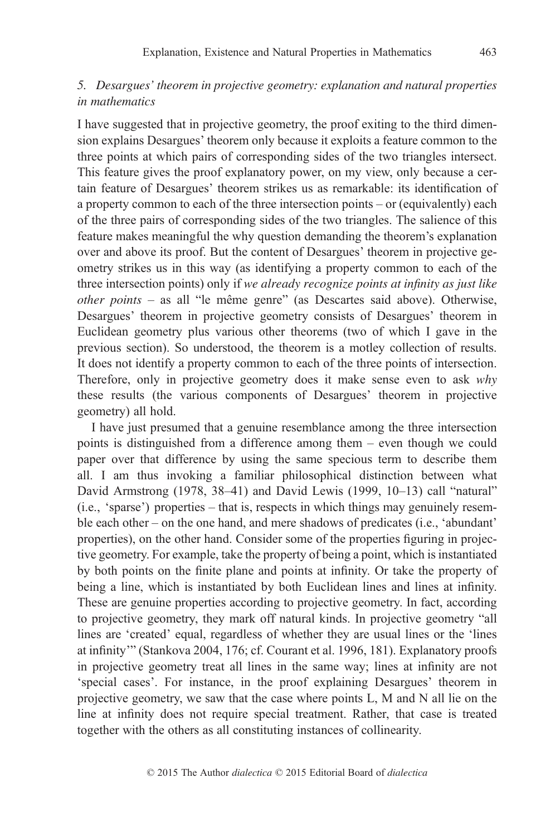# 5. Desargues' theorem in projective geometry: explanation and natural properties in mathematics

I have suggested that in projective geometry, the proof exiting to the third dimension explains Desargues' theorem only because it exploits a feature common to the three points at which pairs of corresponding sides of the two triangles intersect. This feature gives the proof explanatory power, on my view, only because a certain feature of Desargues' theorem strikes us as remarkable: its identification of a property common to each of the three intersection points – or (equivalently) each of the three pairs of corresponding sides of the two triangles. The salience of this feature makes meaningful the why question demanding the theorem's explanation over and above its proof. But the content of Desargues' theorem in projective geometry strikes us in this way (as identifying a property common to each of the three intersection points) only if we already recognize points at infinity as just like other points – as all "le même genre" (as Descartes said above). Otherwise, Desargues' theorem in projective geometry consists of Desargues' theorem in Euclidean geometry plus various other theorems (two of which I gave in the previous section). So understood, the theorem is a motley collection of results. It does not identify a property common to each of the three points of intersection. Therefore, only in projective geometry does it make sense even to ask why these results (the various components of Desargues' theorem in projective geometry) all hold.

I have just presumed that a genuine resemblance among the three intersection points is distinguished from a difference among them – even though we could paper over that difference by using the same specious term to describe them all. I am thus invoking a familiar philosophical distinction between what David Armstrong (1978, 38–41) and David Lewis (1999, 10–13) call "natural" (i.e., 'sparse') properties – that is, respects in which things may genuinely resemble each other – on the one hand, and mere shadows of predicates (i.e., 'abundant' properties), on the other hand. Consider some of the properties figuring in projective geometry. For example, take the property of being a point, which is instantiated by both points on the finite plane and points at infinity. Or take the property of being a line, which is instantiated by both Euclidean lines and lines at infinity. These are genuine properties according to projective geometry. In fact, according to projective geometry, they mark off natural kinds. In projective geometry "all lines are 'created' equal, regardless of whether they are usual lines or the 'lines at infinity'" (Stankova 2004, 176; cf. Courant et al. 1996, 181). Explanatory proofs in projective geometry treat all lines in the same way; lines at infinity are not 'special cases'. For instance, in the proof explaining Desargues' theorem in projective geometry, we saw that the case where points L, M and N all lie on the line at infinity does not require special treatment. Rather, that case is treated together with the others as all constituting instances of collinearity.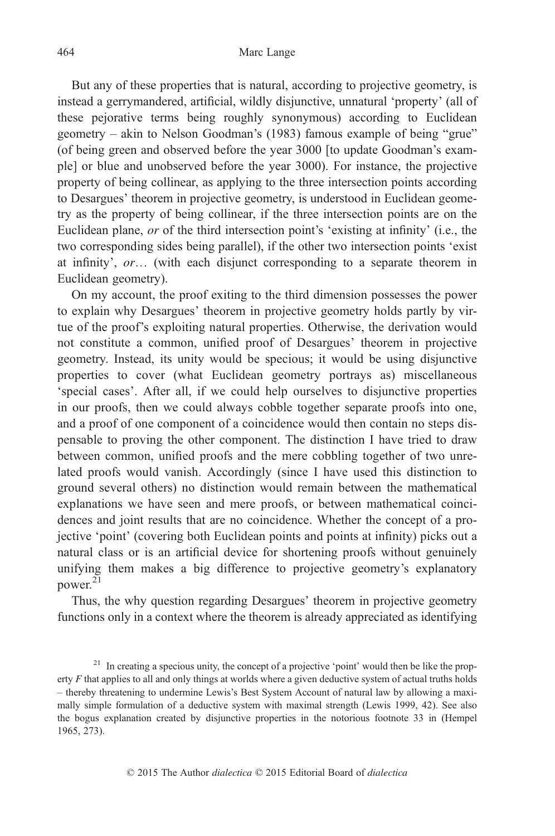But any of these properties that is natural, according to projective geometry, is instead a gerrymandered, artificial, wildly disjunctive, unnatural 'property' (all of these pejorative terms being roughly synonymous) according to Euclidean geometry – akin to Nelson Goodman's (1983) famous example of being "grue" (of being green and observed before the year 3000 [to update Goodman's example] or blue and unobserved before the year 3000). For instance, the projective property of being collinear, as applying to the three intersection points according to Desargues' theorem in projective geometry, is understood in Euclidean geometry as the property of being collinear, if the three intersection points are on the Euclidean plane, or of the third intersection point's 'existing at infinity' (i.e., the two corresponding sides being parallel), if the other two intersection points 'exist at infinity', or… (with each disjunct corresponding to a separate theorem in Euclidean geometry).

On my account, the proof exiting to the third dimension possesses the power to explain why Desargues' theorem in projective geometry holds partly by virtue of the proof's exploiting natural properties. Otherwise, the derivation would not constitute a common, unified proof of Desargues' theorem in projective geometry. Instead, its unity would be specious; it would be using disjunctive properties to cover (what Euclidean geometry portrays as) miscellaneous 'special cases'. After all, if we could help ourselves to disjunctive properties in our proofs, then we could always cobble together separate proofs into one, and a proof of one component of a coincidence would then contain no steps dispensable to proving the other component. The distinction I have tried to draw between common, unified proofs and the mere cobbling together of two unrelated proofs would vanish. Accordingly (since I have used this distinction to ground several others) no distinction would remain between the mathematical explanations we have seen and mere proofs, or between mathematical coincidences and joint results that are no coincidence. Whether the concept of a projective 'point' (covering both Euclidean points and points at infinity) picks out a natural class or is an artificial device for shortening proofs without genuinely unifying them makes a big difference to projective geometry's explanatory power.<sup>21</sup>

Thus, the why question regarding Desargues' theorem in projective geometry functions only in a context where the theorem is already appreciated as identifying

 $21$  In creating a specious unity, the concept of a projective 'point' would then be like the property F that applies to all and only things at worlds where a given deductive system of actual truths holds – thereby threatening to undermine Lewis's Best System Account of natural law by allowing a maximally simple formulation of a deductive system with maximal strength (Lewis 1999, 42). See also the bogus explanation created by disjunctive properties in the notorious footnote 33 in (Hempel 1965, 273).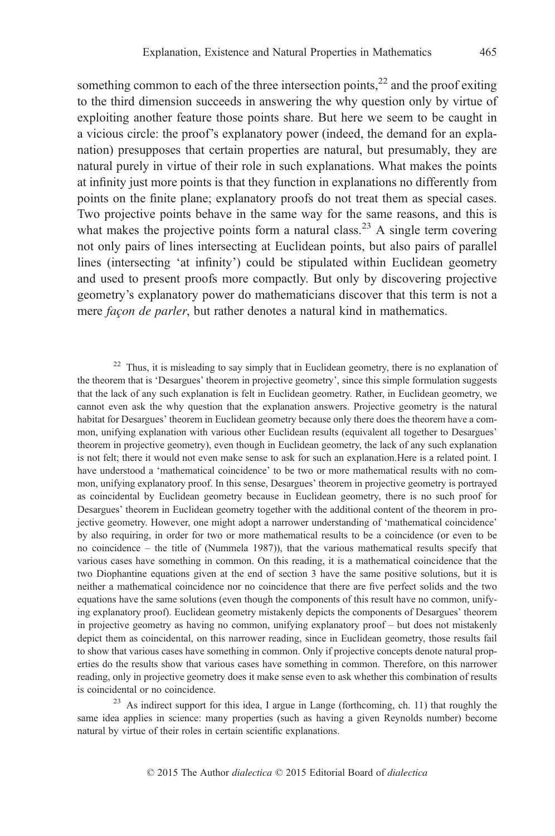something common to each of the three intersection points, $^{22}$  and the proof exiting to the third dimension succeeds in answering the why question only by virtue of exploiting another feature those points share. But here we seem to be caught in a vicious circle: the proof's explanatory power (indeed, the demand for an explanation) presupposes that certain properties are natural, but presumably, they are natural purely in virtue of their role in such explanations. What makes the points at infinity just more points is that they function in explanations no differently from points on the finite plane; explanatory proofs do not treat them as special cases. Two projective points behave in the same way for the same reasons, and this is what makes the projective points form a natural class.<sup>23</sup> A single term covering not only pairs of lines intersecting at Euclidean points, but also pairs of parallel lines (intersecting 'at infinity') could be stipulated within Euclidean geometry and used to present proofs more compactly. But only by discovering projective geometry's explanatory power do mathematicians discover that this term is not a mere *facon de parler*, but rather denotes a natural kind in mathematics.

 $2<sup>22</sup>$  Thus, it is misleading to say simply that in Euclidean geometry, there is no explanation of the theorem that is 'Desargues' theorem in projective geometry', since this simple formulation suggests that the lack of any such explanation is felt in Euclidean geometry. Rather, in Euclidean geometry, we cannot even ask the why question that the explanation answers. Projective geometry is the natural habitat for Desargues' theorem in Euclidean geometry because only there does the theorem have a common, unifying explanation with various other Euclidean results (equivalent all together to Desargues' theorem in projective geometry), even though in Euclidean geometry, the lack of any such explanation is not felt; there it would not even make sense to ask for such an explanation.Here is a related point. I have understood a 'mathematical coincidence' to be two or more mathematical results with no common, unifying explanatory proof. In this sense, Desargues' theorem in projective geometry is portrayed as coincidental by Euclidean geometry because in Euclidean geometry, there is no such proof for Desargues' theorem in Euclidean geometry together with the additional content of the theorem in projective geometry. However, one might adopt a narrower understanding of 'mathematical coincidence' by also requiring, in order for two or more mathematical results to be a coincidence (or even to be no coincidence – the title of (Nummela 1987)), that the various mathematical results specify that various cases have something in common. On this reading, it is a mathematical coincidence that the two Diophantine equations given at the end of section 3 have the same positive solutions, but it is neither a mathematical coincidence nor no coincidence that there are five perfect solids and the two equations have the same solutions (even though the components of this result have no common, unifying explanatory proof). Euclidean geometry mistakenly depicts the components of Desargues' theorem in projective geometry as having no common, unifying explanatory proof – but does not mistakenly depict them as coincidental, on this narrower reading, since in Euclidean geometry, those results fail to show that various cases have something in common. Only if projective concepts denote natural properties do the results show that various cases have something in common. Therefore, on this narrower reading, only in projective geometry does it make sense even to ask whether this combination of results is coincidental or no coincidence.

<sup>23</sup> As indirect support for this idea, I argue in Lange (forthcoming, ch. 11) that roughly the same idea applies in science: many properties (such as having a given Reynolds number) become natural by virtue of their roles in certain scientific explanations.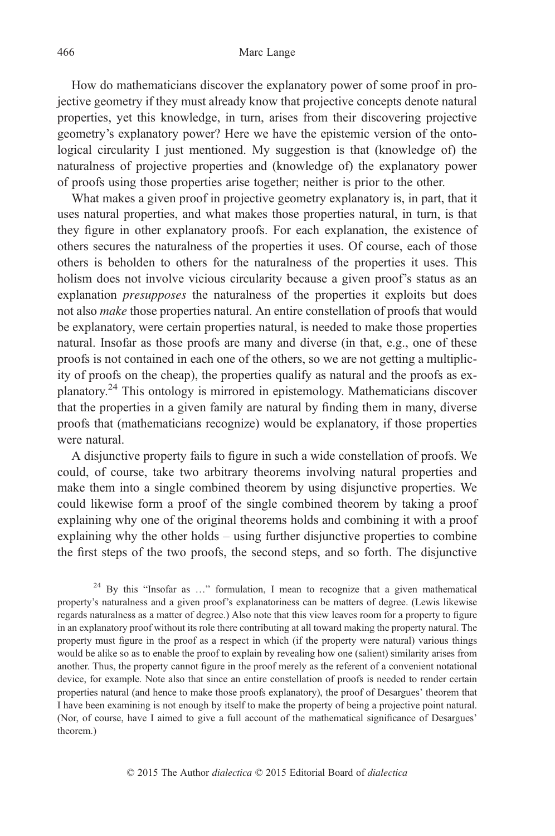How do mathematicians discover the explanatory power of some proof in projective geometry if they must already know that projective concepts denote natural properties, yet this knowledge, in turn, arises from their discovering projective geometry's explanatory power? Here we have the epistemic version of the ontological circularity I just mentioned. My suggestion is that (knowledge of) the naturalness of projective properties and (knowledge of) the explanatory power of proofs using those properties arise together; neither is prior to the other.

What makes a given proof in projective geometry explanatory is, in part, that it uses natural properties, and what makes those properties natural, in turn, is that they figure in other explanatory proofs. For each explanation, the existence of others secures the naturalness of the properties it uses. Of course, each of those others is beholden to others for the naturalness of the properties it uses. This holism does not involve vicious circularity because a given proof's status as an explanation *presupposes* the naturalness of the properties it exploits but does not also make those properties natural. An entire constellation of proofs that would be explanatory, were certain properties natural, is needed to make those properties natural. Insofar as those proofs are many and diverse (in that, e.g., one of these proofs is not contained in each one of the others, so we are not getting a multiplicity of proofs on the cheap), the properties qualify as natural and the proofs as explanatory.24 This ontology is mirrored in epistemology. Mathematicians discover that the properties in a given family are natural by finding them in many, diverse proofs that (mathematicians recognize) would be explanatory, if those properties were natural.

A disjunctive property fails to figure in such a wide constellation of proofs. We could, of course, take two arbitrary theorems involving natural properties and make them into a single combined theorem by using disjunctive properties. We could likewise form a proof of the single combined theorem by taking a proof explaining why one of the original theorems holds and combining it with a proof explaining why the other holds – using further disjunctive properties to combine the first steps of the two proofs, the second steps, and so forth. The disjunctive

<sup>24</sup> By this "Insofar as …" formulation, I mean to recognize that a given mathematical property's naturalness and a given proof's explanatoriness can be matters of degree. (Lewis likewise regards naturalness as a matter of degree.) Also note that this view leaves room for a property to figure in an explanatory proof without its role there contributing at all toward making the property natural. The property must figure in the proof as a respect in which (if the property were natural) various things would be alike so as to enable the proof to explain by revealing how one (salient) similarity arises from another. Thus, the property cannot figure in the proof merely as the referent of a convenient notational device, for example. Note also that since an entire constellation of proofs is needed to render certain properties natural (and hence to make those proofs explanatory), the proof of Desargues' theorem that I have been examining is not enough by itself to make the property of being a projective point natural. (Nor, of course, have I aimed to give a full account of the mathematical significance of Desargues' theorem.)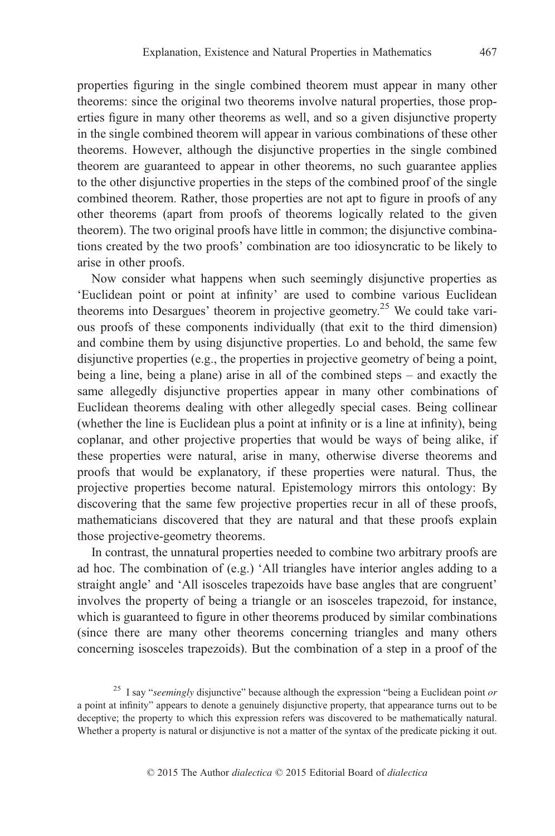properties figuring in the single combined theorem must appear in many other theorems: since the original two theorems involve natural properties, those properties figure in many other theorems as well, and so a given disjunctive property in the single combined theorem will appear in various combinations of these other theorems. However, although the disjunctive properties in the single combined theorem are guaranteed to appear in other theorems, no such guarantee applies to the other disjunctive properties in the steps of the combined proof of the single combined theorem. Rather, those properties are not apt to figure in proofs of any other theorems (apart from proofs of theorems logically related to the given theorem). The two original proofs have little in common; the disjunctive combinations created by the two proofs' combination are too idiosyncratic to be likely to arise in other proofs.

Now consider what happens when such seemingly disjunctive properties as 'Euclidean point or point at infinity' are used to combine various Euclidean theorems into Desargues' theorem in projective geometry.<sup>25</sup> We could take various proofs of these components individually (that exit to the third dimension) and combine them by using disjunctive properties. Lo and behold, the same few disjunctive properties (e.g., the properties in projective geometry of being a point, being a line, being a plane) arise in all of the combined steps – and exactly the same allegedly disjunctive properties appear in many other combinations of Euclidean theorems dealing with other allegedly special cases. Being collinear (whether the line is Euclidean plus a point at infinity or is a line at infinity), being coplanar, and other projective properties that would be ways of being alike, if these properties were natural, arise in many, otherwise diverse theorems and proofs that would be explanatory, if these properties were natural. Thus, the projective properties become natural. Epistemology mirrors this ontology: By discovering that the same few projective properties recur in all of these proofs, mathematicians discovered that they are natural and that these proofs explain those projective-geometry theorems.

In contrast, the unnatural properties needed to combine two arbitrary proofs are ad hoc. The combination of (e.g.) 'All triangles have interior angles adding to a straight angle' and 'All isosceles trapezoids have base angles that are congruent' involves the property of being a triangle or an isosceles trapezoid, for instance, which is guaranteed to figure in other theorems produced by similar combinations (since there are many other theorems concerning triangles and many others concerning isosceles trapezoids). But the combination of a step in a proof of the

<sup>25</sup> I say "seemingly disjunctive" because although the expression "being a Euclidean point or a point at infinity" appears to denote a genuinely disjunctive property, that appearance turns out to be deceptive; the property to which this expression refers was discovered to be mathematically natural. Whether a property is natural or disjunctive is not a matter of the syntax of the predicate picking it out.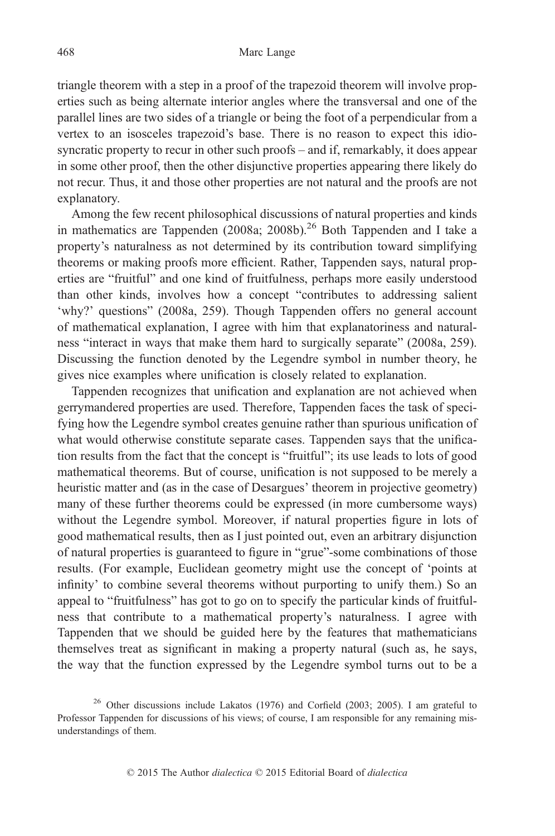triangle theorem with a step in a proof of the trapezoid theorem will involve properties such as being alternate interior angles where the transversal and one of the parallel lines are two sides of a triangle or being the foot of a perpendicular from a vertex to an isosceles trapezoid's base. There is no reason to expect this idiosyncratic property to recur in other such proofs – and if, remarkably, it does appear in some other proof, then the other disjunctive properties appearing there likely do not recur. Thus, it and those other properties are not natural and the proofs are not explanatory.

Among the few recent philosophical discussions of natural properties and kinds in mathematics are Tappenden (2008a; 2008b).<sup>26</sup> Both Tappenden and I take a property's naturalness as not determined by its contribution toward simplifying theorems or making proofs more efficient. Rather, Tappenden says, natural properties are "fruitful" and one kind of fruitfulness, perhaps more easily understood than other kinds, involves how a concept "contributes to addressing salient 'why?' questions" (2008a, 259). Though Tappenden offers no general account of mathematical explanation, I agree with him that explanatoriness and naturalness "interact in ways that make them hard to surgically separate" (2008a, 259). Discussing the function denoted by the Legendre symbol in number theory, he gives nice examples where unification is closely related to explanation.

Tappenden recognizes that unification and explanation are not achieved when gerrymandered properties are used. Therefore, Tappenden faces the task of specifying how the Legendre symbol creates genuine rather than spurious unification of what would otherwise constitute separate cases. Tappenden says that the unification results from the fact that the concept is "fruitful"; its use leads to lots of good mathematical theorems. But of course, unification is not supposed to be merely a heuristic matter and (as in the case of Desargues' theorem in projective geometry) many of these further theorems could be expressed (in more cumbersome ways) without the Legendre symbol. Moreover, if natural properties figure in lots of good mathematical results, then as I just pointed out, even an arbitrary disjunction of natural properties is guaranteed to figure in "grue"-some combinations of those results. (For example, Euclidean geometry might use the concept of 'points at infinity' to combine several theorems without purporting to unify them.) So an appeal to "fruitfulness" has got to go on to specify the particular kinds of fruitfulness that contribute to a mathematical property's naturalness. I agree with Tappenden that we should be guided here by the features that mathematicians themselves treat as significant in making a property natural (such as, he says, the way that the function expressed by the Legendre symbol turns out to be a

 $26$  Other discussions include Lakatos (1976) and Corfield (2003; 2005). I am grateful to Professor Tappenden for discussions of his views; of course, I am responsible for any remaining misunderstandings of them.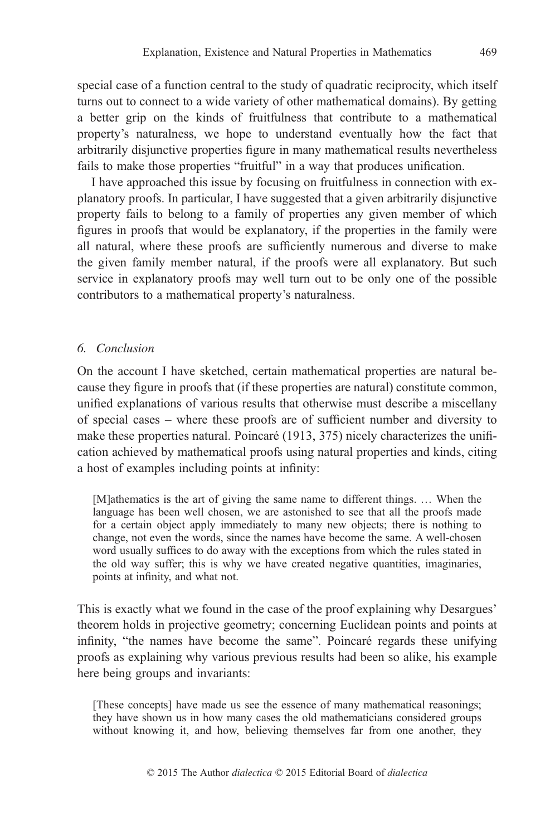special case of a function central to the study of quadratic reciprocity, which itself turns out to connect to a wide variety of other mathematical domains). By getting a better grip on the kinds of fruitfulness that contribute to a mathematical property's naturalness, we hope to understand eventually how the fact that arbitrarily disjunctive properties figure in many mathematical results nevertheless fails to make those properties "fruitful" in a way that produces unification.

I have approached this issue by focusing on fruitfulness in connection with explanatory proofs. In particular, I have suggested that a given arbitrarily disjunctive property fails to belong to a family of properties any given member of which figures in proofs that would be explanatory, if the properties in the family were all natural, where these proofs are sufficiently numerous and diverse to make the given family member natural, if the proofs were all explanatory. But such service in explanatory proofs may well turn out to be only one of the possible contributors to a mathematical property's naturalness.

#### 6. Conclusion

On the account I have sketched, certain mathematical properties are natural because they figure in proofs that (if these properties are natural) constitute common, unified explanations of various results that otherwise must describe a miscellany of special cases – where these proofs are of sufficient number and diversity to make these properties natural. Poincaré (1913, 375) nicely characterizes the unification achieved by mathematical proofs using natural properties and kinds, citing a host of examples including points at infinity:

[M]athematics is the art of giving the same name to different things. … When the language has been well chosen, we are astonished to see that all the proofs made for a certain object apply immediately to many new objects; there is nothing to change, not even the words, since the names have become the same. A well-chosen word usually suffices to do away with the exceptions from which the rules stated in the old way suffer; this is why we have created negative quantities, imaginaries, points at infinity, and what not.

This is exactly what we found in the case of the proof explaining why Desargues' theorem holds in projective geometry; concerning Euclidean points and points at infinity, "the names have become the same". Poincaré regards these unifying proofs as explaining why various previous results had been so alike, his example here being groups and invariants:

[These concepts] have made us see the essence of many mathematical reasonings; they have shown us in how many cases the old mathematicians considered groups without knowing it, and how, believing themselves far from one another, they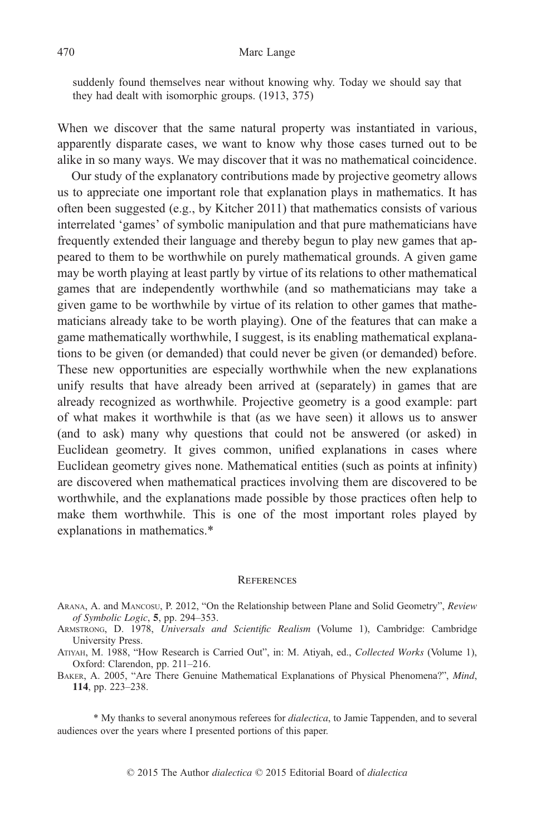suddenly found themselves near without knowing why. Today we should say that they had dealt with isomorphic groups. (1913, 375)

When we discover that the same natural property was instantiated in various, apparently disparate cases, we want to know why those cases turned out to be alike in so many ways. We may discover that it was no mathematical coincidence.

Our study of the explanatory contributions made by projective geometry allows us to appreciate one important role that explanation plays in mathematics. It has often been suggested (e.g., by Kitcher 2011) that mathematics consists of various interrelated 'games' of symbolic manipulation and that pure mathematicians have frequently extended their language and thereby begun to play new games that appeared to them to be worthwhile on purely mathematical grounds. A given game may be worth playing at least partly by virtue of its relations to other mathematical games that are independently worthwhile (and so mathematicians may take a given game to be worthwhile by virtue of its relation to other games that mathematicians already take to be worth playing). One of the features that can make a game mathematically worthwhile, I suggest, is its enabling mathematical explanations to be given (or demanded) that could never be given (or demanded) before. These new opportunities are especially worthwhile when the new explanations unify results that have already been arrived at (separately) in games that are already recognized as worthwhile. Projective geometry is a good example: part of what makes it worthwhile is that (as we have seen) it allows us to answer (and to ask) many why questions that could not be answered (or asked) in Euclidean geometry. It gives common, unified explanations in cases where Euclidean geometry gives none. Mathematical entities (such as points at infinity) are discovered when mathematical practices involving them are discovered to be worthwhile, and the explanations made possible by those practices often help to make them worthwhile. This is one of the most important roles played by explanations in mathematics.\*

#### **REFERENCES**

- ARANA, A. and MANCOSU, P. 2012, "On the Relationship between Plane and Solid Geometry", Review of Symbolic Logic, 5, pp. 294–353.
- ARMSTRONG, D. 1978, Universals and Scientific Realism (Volume 1), Cambridge: Cambridge University Press.
- ATIYAH, M. 1988, "How Research is Carried Out", in: M. Atiyah, ed., *Collected Works* (Volume 1), Oxford: Clarendon, pp. 211–216.

BAKER, A. 2005, "Are There Genuine Mathematical Explanations of Physical Phenomena?", Mind, 114, pp. 223–238.

\* My thanks to several anonymous referees for dialectica, to Jamie Tappenden, and to several audiences over the years where I presented portions of this paper.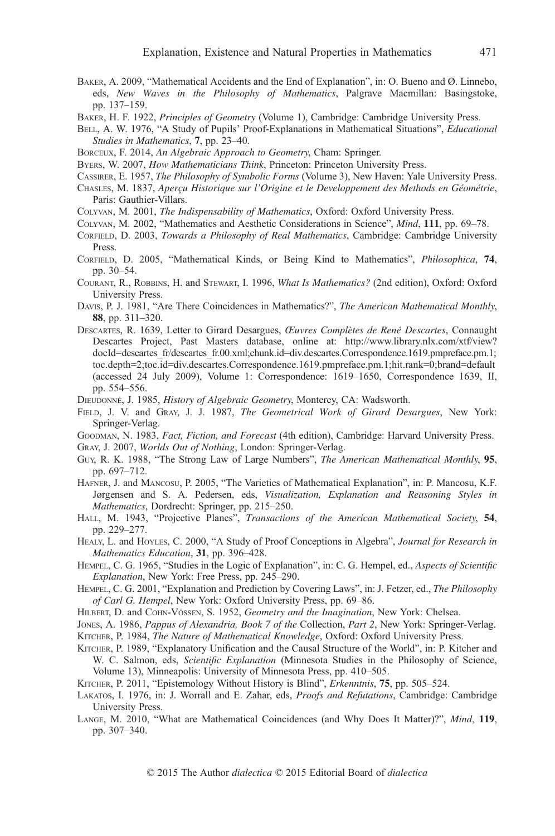- BAKER, A. 2009, "Mathematical Accidents and the End of Explanation", in: O. Bueno and Ø. Linnebo, eds, New Waves in the Philosophy of Mathematics, Palgrave Macmillan: Basingstoke, pp. 137–159.
- BAKER, H. F. 1922, Principles of Geometry (Volume 1), Cambridge: Cambridge University Press.
- BELL, A. W. 1976, "A Study of Pupils' Proof-Explanations in Mathematical Situations", Educational Studies in Mathematics, 7, pp. 23–40.
- BORCEUX, F. 2014, An Algebraic Approach to Geometry, Cham: Springer.
- BYERS, W. 2007, How Mathematicians Think, Princeton: Princeton University Press.
- CASSIRER, E. 1957, The Philosophy of Symbolic Forms (Volume 3), New Haven: Yale University Press.
- CHASLES, M. 1837, Aperçu Historique sur l'Origine et le Developpement des Methods en Géométrie, Paris: Gauthier-Villars.
- COLYVAN, M. 2001, The Indispensability of Mathematics, Oxford: Oxford University Press.
- COLYVAN, M. 2002, "Mathematics and Aesthetic Considerations in Science", Mind, 111, pp. 69–78.
- CORFIELD, D. 2003, Towards a Philosophy of Real Mathematics, Cambridge: Cambridge University Press.
- CORFIELD, D. 2005, "Mathematical Kinds, or Being Kind to Mathematics", Philosophica, 74, pp. 30–54.
- COURANT, R., ROBBINS, H. and STEWART, I. 1996, What Is Mathematics? (2nd edition), Oxford: Oxford University Press.
- DAVIS, P. J. 1981, "Are There Coincidences in Mathematics?", The American Mathematical Monthly, 88, pp. 311–320.
- DESCARTES, R. 1639, Letter to Girard Desargues, Œuvres Complètes de René Descartes, Connaught Descartes Project, Past Masters database, online at: http://www.library.nlx.com/xtf/view? docId=descartes\_fr/descartes\_fr.00.xml;chunk.id=div.descartes.Correspondence.1619.pmpreface.pm.1; toc.depth=2;toc.id=div.descartes.Correspondence.1619.pmpreface.pm.1;hit.rank=0;brand=default (accessed 24 July 2009), Volume 1: Correspondence: 1619–1650, Correspondence 1639, II, pp. 554–556.
- DIEUDONNÉ, J. 1985, History of Algebraic Geometry, Monterey, CA: Wadsworth.
- FIELD, J. V. and GRAY, J. J. 1987, The Geometrical Work of Girard Desargues, New York: Springer-Verlag.

GOODMAN, N. 1983, Fact, Fiction, and Forecast (4th edition), Cambridge: Harvard University Press.

- GRAY, J. 2007, Worlds Out of Nothing, London: Springer-Verlag.
- GUY, R. K. 1988, "The Strong Law of Large Numbers", The American Mathematical Monthly, 95, pp. 697–712.
- HAFNER, J. and MANCOSU, P. 2005, "The Varieties of Mathematical Explanation", in: P. Mancosu, K.F. Jørgensen and S. A. Pedersen, eds, Visualization, Explanation and Reasoning Styles in Mathematics, Dordrecht: Springer, pp. 215–250.
- HALL, M. 1943, "Projective Planes", Transactions of the American Mathematical Society, 54, pp. 229–277.
- HEALY, L. and HOYLES, C. 2000, "A Study of Proof Conceptions in Algebra", Journal for Research in Mathematics Education, 31, pp. 396–428.
- HEMPEL, C. G. 1965, "Studies in the Logic of Explanation", in: C. G. Hempel, ed., Aspects of Scientific Explanation, New York: Free Press, pp. 245–290.
- HEMPEL, C. G. 2001, "Explanation and Prediction by Covering Laws", in: J. Fetzer, ed., The Philosophy of Carl G. Hempel, New York: Oxford University Press, pp. 69–86.
- HILBERT, D. and COHN-VÓSSEN, S. 1952, Geometry and the Imagination, New York: Chelsea.
- JONES, A. 1986, Pappus of Alexandria, Book 7 of the Collection, Part 2, New York: Springer-Verlag.
- KITCHER, P. 1984, The Nature of Mathematical Knowledge, Oxford: Oxford University Press.
- KITCHER, P. 1989, "Explanatory Unification and the Causal Structure of the World", in: P. Kitcher and W. C. Salmon, eds, Scientific Explanation (Minnesota Studies in the Philosophy of Science, Volume 13), Minneapolis: University of Minnesota Press, pp. 410–505.
- KITCHER, P. 2011, "Epistemology Without History is Blind", Erkenntnis, 75, pp. 505-524.
- LAKATOS, I. 1976, in: J. Worrall and E. Zahar, eds, *Proofs and Refutations*, Cambridge: Cambridge University Press.
- LANGE, M. 2010, "What are Mathematical Coincidences (and Why Does It Matter)?", Mind, 119, pp. 307–340.